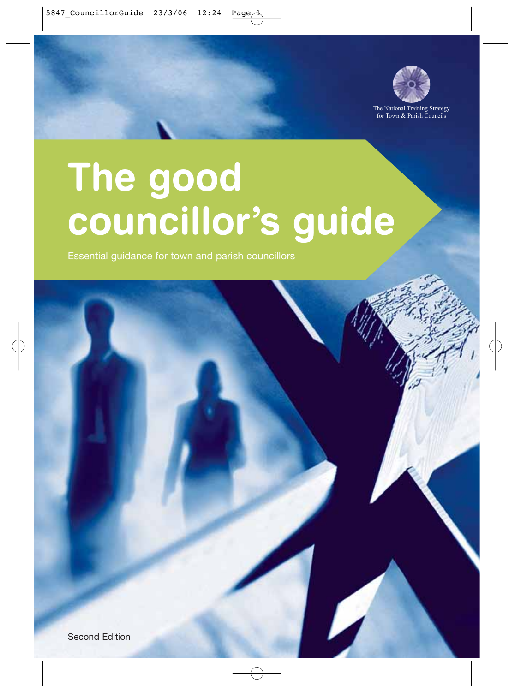

The National Training Strategy for Town & Parish Councils

# **The good councillor's guide**

Essential guidance for town and parish councillors

Second Edition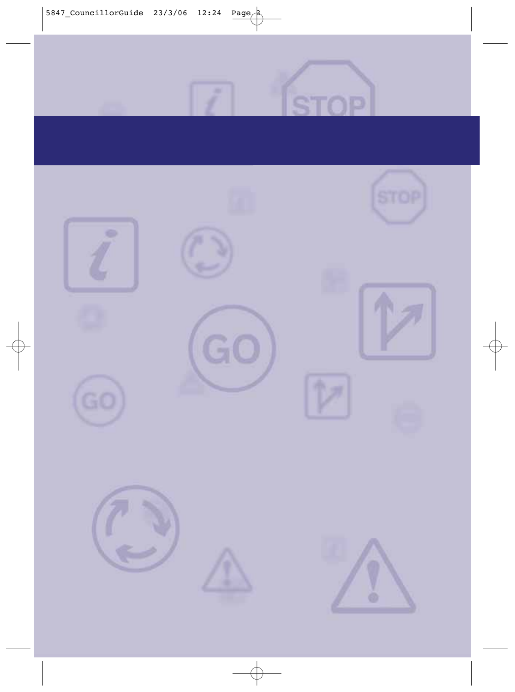



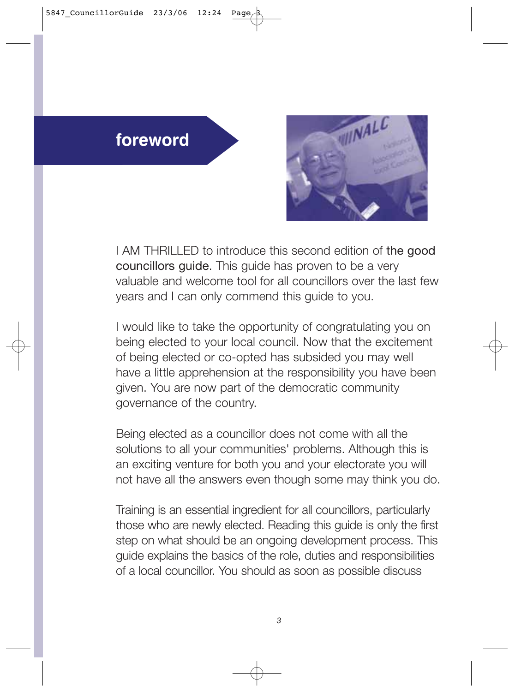# **foreword**



I AM THRILLED to introduce this second edition of the good councillors guide. This guide has proven to be a very valuable and welcome tool for all councillors over the last few years and I can only commend this guide to you.

I would like to take the opportunity of congratulating you on being elected to your local council. Now that the excitement of being elected or co-opted has subsided you may well have a little apprehension at the responsibility you have been given. You are now part of the democratic community governance of the country.

Being elected as a councillor does not come with all the solutions to all your communities' problems. Although this is an exciting venture for both you and your electorate you will not have all the answers even though some may think you do.

Training is an essential ingredient for all councillors, particularly those who are newly elected. Reading this guide is only the first step on what should be an ongoing development process. This guide explains the basics of the role, duties and responsibilities of a local councillor. You should as soon as possible discuss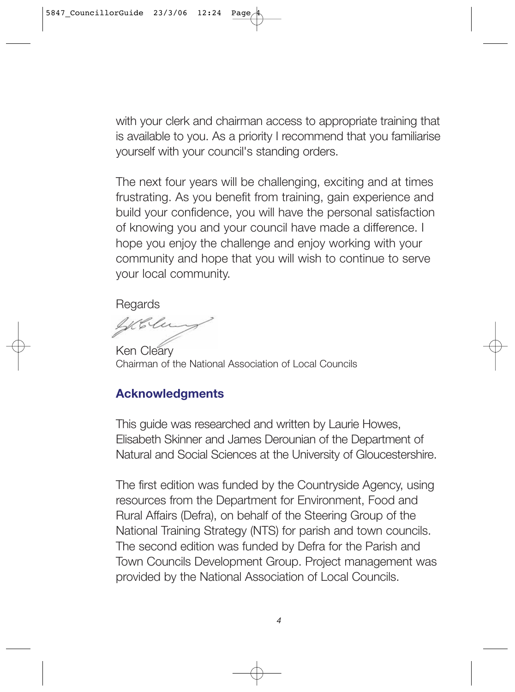with your clerk and chairman access to appropriate training that is available to you. As a priority I recommend that you familiarise yourself with your council's standing orders.

The next four years will be challenging, exciting and at times frustrating. As you benefit from training, gain experience and build your confidence, you will have the personal satisfaction of knowing you and your council have made a difference. I hope you enjoy the challenge and enjoy working with your community and hope that you will wish to continue to serve your local community.

Regards

Which

Ken Cleary Chairman of the National Association of Local Councils

### **Acknowledgments**

This guide was researched and written by Laurie Howes, Elisabeth Skinner and James Derounian of the Department of Natural and Social Sciences at the University of Gloucestershire.

The first edition was funded by the Countryside Agency, using resources from the Department for Environment, Food and Rural Affairs (Defra), on behalf of the Steering Group of the National Training Strategy (NTS) for parish and town councils. The second edition was funded by Defra for the Parish and Town Councils Development Group. Project management was provided by the National Association of Local Councils.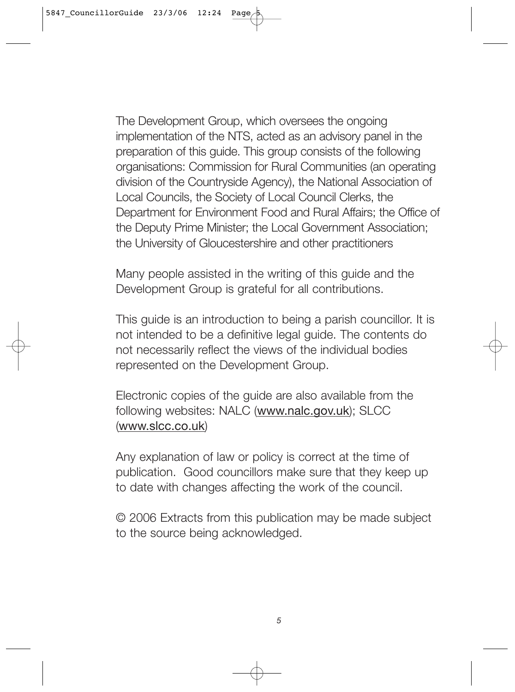The Development Group, which oversees the ongoing implementation of the NTS, acted as an advisory panel in the preparation of this guide. This group consists of the following organisations: Commission for Rural Communities (an operating division of the Countryside Agency), the National Association of Local Councils, the Society of Local Council Clerks, the Department for Environment Food and Rural Affairs; the Office of the Deputy Prime Minister; the Local Government Association; the University of Gloucestershire and other practitioners

Many people assisted in the writing of this guide and the Development Group is grateful for all contributions.

This guide is an introduction to being a parish councillor. It is not intended to be a definitive legal guide. The contents do not necessarily reflect the views of the individual bodies represented on the Development Group.

Electronic copies of the guide are also available from the following websites: NALC (www.nalc.gov.uk); SLCC (www.slcc.co.uk)

Any explanation of law or policy is correct at the time of publication. Good councillors make sure that they keep up to date with changes affecting the work of the council.

© 2006 Extracts from this publication may be made subject to the source being acknowledged.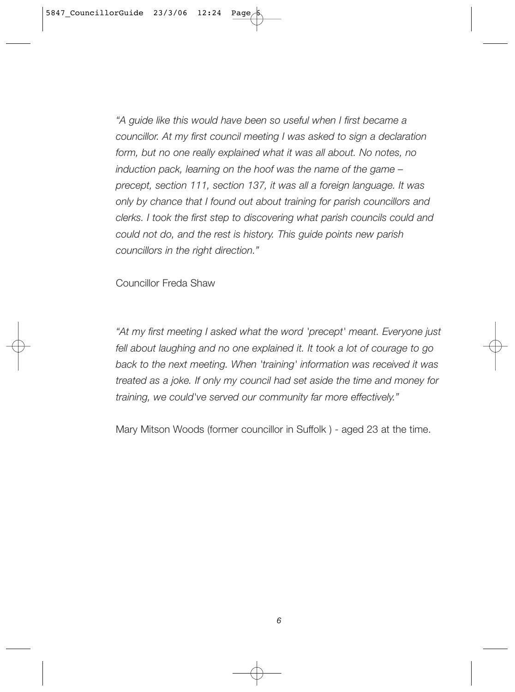*"A guide like this would have been so useful when I first became a councillor. At my first council meeting I was asked to sign a declaration form, but no one really explained what it was all about. No notes, no induction pack, learning on the hoof was the name of the game – precept, section 111, section 137, it was all a foreign language. It was only by chance that I found out about training for parish councillors and clerks. I took the first step to discovering what parish councils could and could not do, and the rest is history. This guide points new parish councillors in the right direction."* 

Councillor Freda Shaw

*"At my first meeting I asked what the word 'precept' meant. Everyone just fell about laughing and no one explained it. It took a lot of courage to go back to the next meeting. When 'training' information was received it was treated as a joke. If only my council had set aside the time and money for training, we could've served our community far more effectively."*

Mary Mitson Woods (former councillor in Suffolk ) - aged 23 at the time.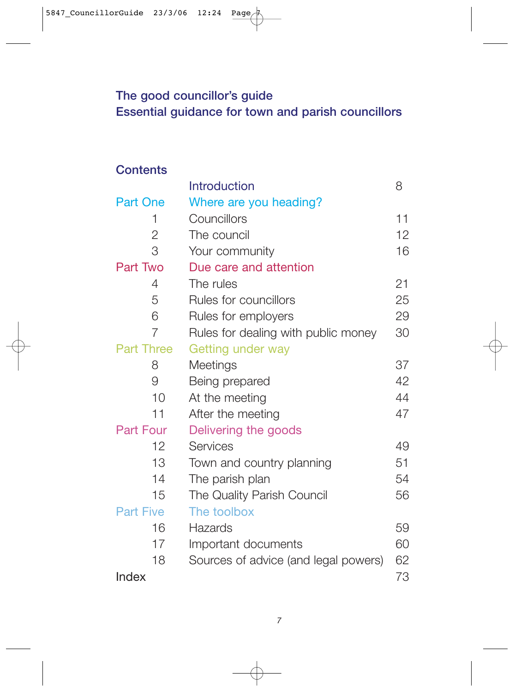# **The good councillor's guide Essential guidance for town and parish councillors**

### **Contents**

|                   | <b>Introduction</b>                  | 8  |
|-------------------|--------------------------------------|----|
| <b>Part One</b>   | Where are you heading?               |    |
| 1                 | Councillors                          | 11 |
| 2                 | The council                          | 12 |
| 3                 | Your community                       | 16 |
| <b>Part Two</b>   | Due care and attention               |    |
| 4                 | The rules                            | 21 |
| 5                 | Rules for councillors                | 25 |
| 6                 | Rules for employers                  | 29 |
| 7                 | Rules for dealing with public money  | 30 |
| <b>Part Three</b> | Getting under way                    |    |
| 8                 | Meetings                             | 37 |
| 9                 | Being prepared                       | 42 |
| 10                | At the meeting                       | 44 |
| 11                | After the meeting                    | 47 |
| <b>Part Four</b>  | Delivering the goods                 |    |
| 12                | Services                             | 49 |
| 13                | Town and country planning            | 51 |
| 14                | The parish plan                      | 54 |
| 15                | The Quality Parish Council           | 56 |
| <b>Part Five</b>  | The toolbox                          |    |
| 16                | Hazards                              | 59 |
| 17                | Important documents                  | 60 |
| 18                | Sources of advice (and legal powers) | 62 |
| Index             |                                      | 73 |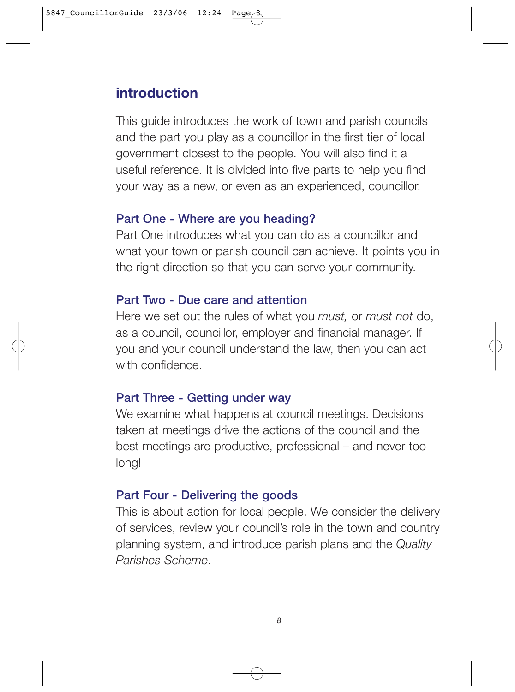# **introduction**

This guide introduces the work of town and parish councils and the part you play as a councillor in the first tier of local government closest to the people. You will also find it a useful reference. It is divided into five parts to help you find your way as a new, or even as an experienced, councillor.

### **Part One - Where are you heading?**

Part One introduces what you can do as a councillor and what your town or parish council can achieve. It points you in the right direction so that you can serve your community.

### **Part Two - Due care and attention**

Here we set out the rules of what you *must,* or *must not* do, as a council, councillor, employer and financial manager. If you and your council understand the law, then you can act with confidence.

### **Part Three - Getting under way**

We examine what happens at council meetings. Decisions taken at meetings drive the actions of the council and the best meetings are productive, professional – and never too long!

### **Part Four - Delivering the goods**

This is about action for local people. We consider the delivery of services, review your council's role in the town and country planning system, and introduce parish plans and the *Quality Parishes Scheme*.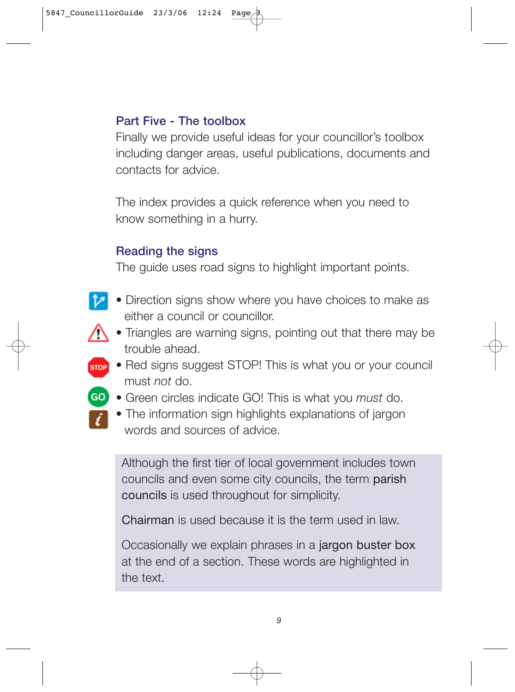### **Part Five - The toolbox**

Finally we provide useful ideas for your councillor's toolbox including danger areas, useful publications, documents and contacts for advice.

The index provides a quick reference when you need to know something in a hurry.

### **Reading the signs**

∕

The quide uses road signs to highlight important points.

- $\mathcal V$ • Direction signs show where you have choices to make as either a council or councillor.
	- Triangles are warning signs, pointing out that there may be trouble ahead.
- stop Red signs suggest STOP! This is what you or your council must *not* do.
- Green circles indicate GO! This is what you *must* do.
	- The information sign highlights explanations of jargon words and sources of advice.

Although the first tier of local government includes town councils and even some city councils, the term parish councils is used throughout for simplicity.

Chairman is used because it is the term used in law.

Occasionally we explain phrases in a jargon buster box at the end of a section. These words are highlighted in the text.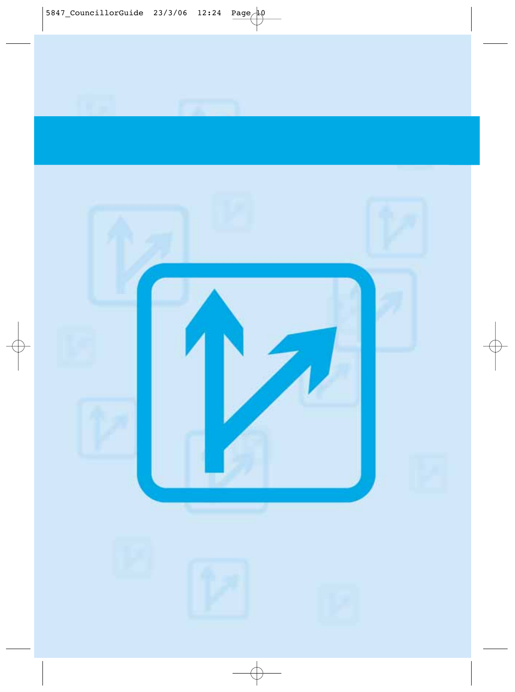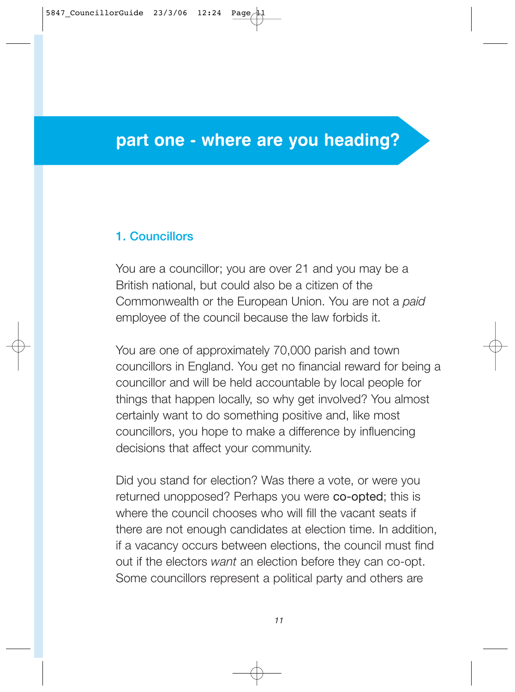# **part one - where are you heading?**

### **1. Councillors**

You are a councillor; you are over 21 and you may be a British national, but could also be a citizen of the Commonwealth or the European Union. You are not a *paid* employee of the council because the law forbids it.

You are one of approximately 70,000 parish and town councillors in England. You get no financial reward for being a councillor and will be held accountable by local people for things that happen locally, so why get involved? You almost certainly want to do something positive and, like most councillors, you hope to make a difference by influencing decisions that affect your community.

Did you stand for election? Was there a vote, or were you returned unopposed? Perhaps you were co-opted; this is where the council chooses who will fill the vacant seats if there are not enough candidates at election time. In addition, if a vacancy occurs between elections, the council must find out if the electors *want* an election before they can co-opt. Some councillors represent a political party and others are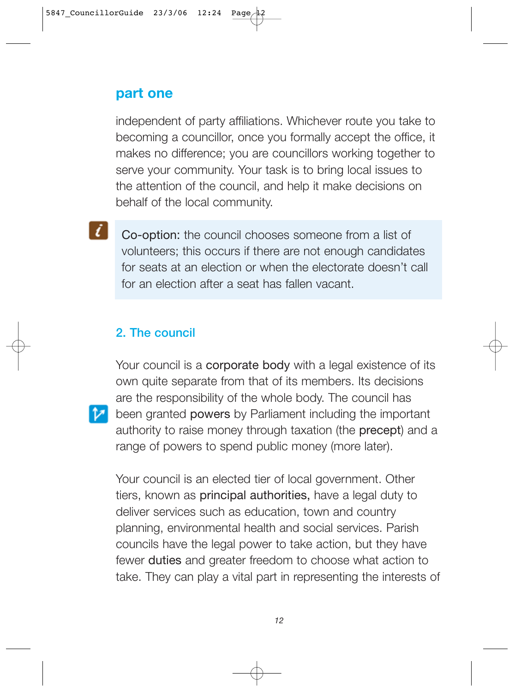### **part one**

independent of party affiliations. Whichever route you take to becoming a councillor, once you formally accept the office, it makes no difference; you are councillors working together to serve your community. Your task is to bring local issues to the attention of the council, and help it make decisions on behalf of the local community.

 $\mathcal{L}$ 

Co-option: the council chooses someone from a list of volunteers; this occurs if there are not enough candidates for seats at an election or when the electorate doesn't call for an election after a seat has fallen vacant.

### **2. The council**

Your council is a corporate body with a legal existence of its own quite separate from that of its members. Its decisions are the responsibility of the whole body. The council has  $\mathcal{P}$  been granted powers by Parliament including the important authority to raise money through taxation (the precept) and a range of powers to spend public money (more later).

Your council is an elected tier of local government. Other tiers, known as principal authorities, have a legal duty to deliver services such as education, town and country planning, environmental health and social services. Parish councils have the legal power to take action, but they have fewer duties and greater freedom to choose what action to take. They can play a vital part in representing the interests of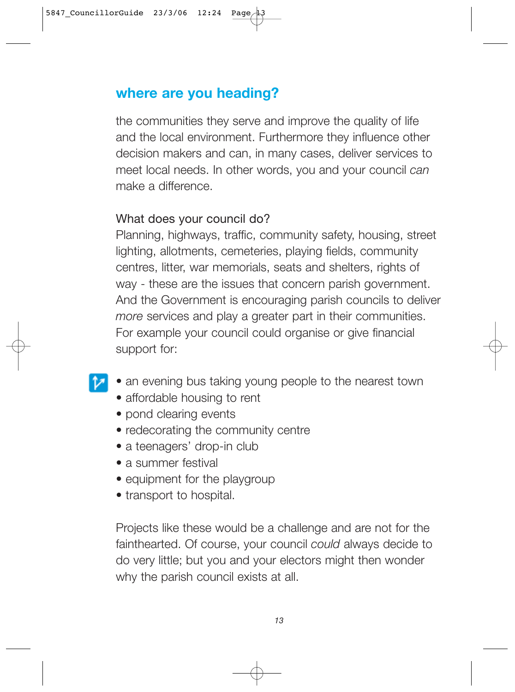# **where are you heading?**

the communities they serve and improve the quality of life and the local environment. Furthermore they influence other decision makers and can, in many cases, deliver services to meet local needs. In other words, you and your council *can* make a difference.

### What does your council do?

Planning, highways, traffic, community safety, housing, street lighting, allotments, cemeteries, playing fields, community centres, litter, war memorials, seats and shelters, rights of way - these are the issues that concern parish government. And the Government is encouraging parish councils to deliver *more* services and play a greater part in their communities. For example your council could organise or give financial support for:

- **17** an evening bus taking young people to the nearest town
	- affordable housing to rent
	- pond clearing events
	- redecorating the community centre
	- a teenagers' drop-in club
	- a summer festival
	- equipment for the playgroup
	- transport to hospital.

Projects like these would be a challenge and are not for the fainthearted. Of course, your council *could* always decide to do very little; but you and your electors might then wonder why the parish council exists at all.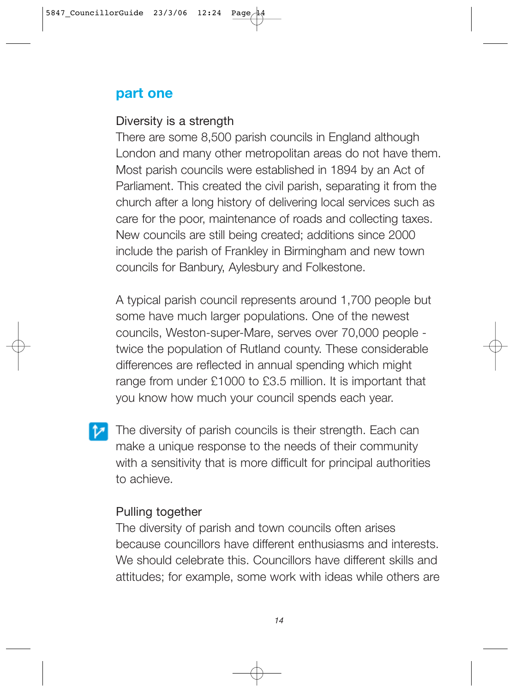# **part one**

### Diversity is a strength

There are some 8,500 parish councils in England although London and many other metropolitan areas do not have them. Most parish councils were established in 1894 by an Act of Parliament. This created the civil parish, separating it from the church after a long history of delivering local services such as care for the poor, maintenance of roads and collecting taxes. New councils are still being created; additions since 2000 include the parish of Frankley in Birmingham and new town councils for Banbury, Aylesbury and Folkestone.

A typical parish council represents around 1,700 people but some have much larger populations. One of the newest councils, Weston-super-Mare, serves over 70,000 people twice the population of Rutland county. These considerable differences are reflected in annual spending which might range from under £1000 to £3.5 million. It is important that you know how much your council spends each year.

 $\mathcal{D}$  The diversity of parish councils is their strength. Each can make a unique response to the needs of their community with a sensitivity that is more difficult for principal authorities to achieve.

### Pulling together

The diversity of parish and town councils often arises because councillors have different enthusiasms and interests. We should celebrate this. Councillors have different skills and attitudes; for example, some work with ideas while others are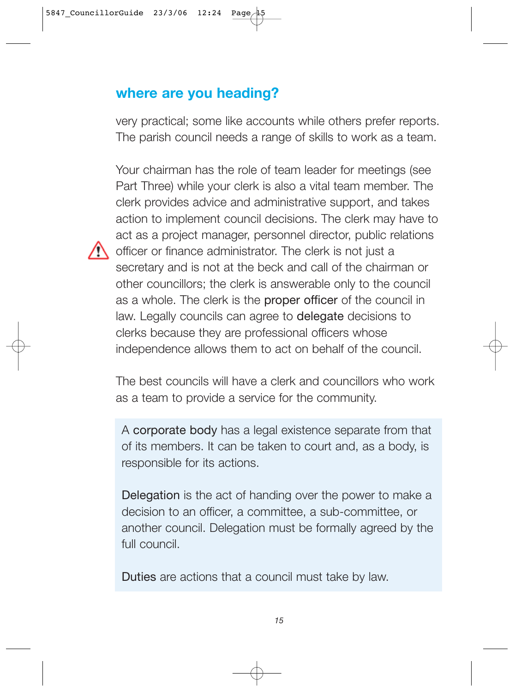# **where are you heading?**

very practical; some like accounts while others prefer reports. The parish council needs a range of skills to work as a team.

Your chairman has the role of team leader for meetings (see Part Three) while your clerk is also a vital team member. The clerk provides advice and administrative support, and takes action to implement council decisions. The clerk may have to act as a project manager, personnel director, public relations officer or finance administrator. The clerk is not just a secretary and is not at the beck and call of the chairman or other councillors; the clerk is answerable only to the council as a whole. The clerk is the proper officer of the council in law. Legally councils can agree to delegate decisions to clerks because they are professional officers whose independence allows them to act on behalf of the council.

The best councils will have a clerk and councillors who work as a team to provide a service for the community.

A corporate body has a legal existence separate from that of its members. It can be taken to court and, as a body, is responsible for its actions.

Delegation is the act of handing over the power to make a decision to an officer, a committee, a sub-committee, or another council. Delegation must be formally agreed by the full council.

Duties are actions that a council must take by law.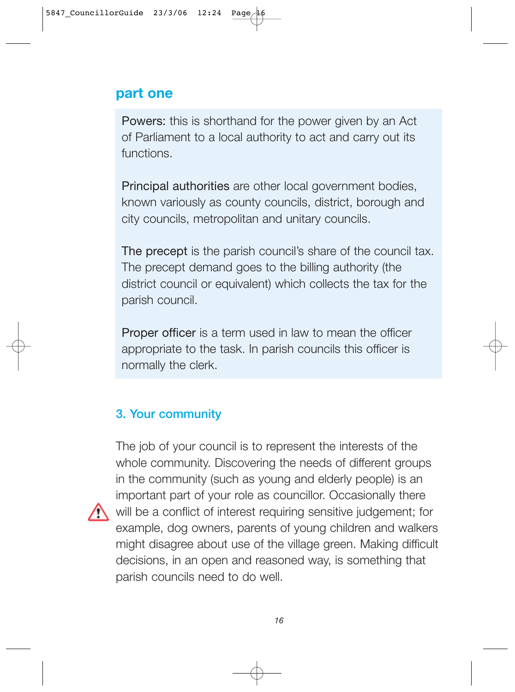# **part one**

Powers: this is shorthand for the power given by an Act of Parliament to a local authority to act and carry out its functions.

Principal authorities are other local government bodies, known variously as county councils, district, borough and city councils, metropolitan and unitary councils.

The precept is the parish council's share of the council tax. The precept demand goes to the billing authority (the district council or equivalent) which collects the tax for the parish council.

Proper officer is a term used in law to mean the officer appropriate to the task. In parish councils this officer is normally the clerk.

### **3. Your community**

The job of your council is to represent the interests of the whole community. Discovering the needs of different groups in the community (such as young and elderly people) is an important part of your role as councillor. Occasionally there will be a conflict of interest requiring sensitive judgement; for example, dog owners, parents of young children and walkers might disagree about use of the village green. Making difficult decisions, in an open and reasoned way, is something that parish councils need to do well.

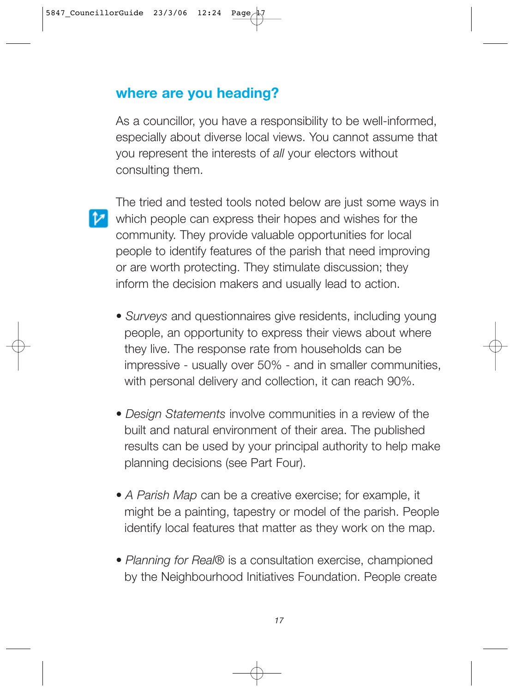# **where are you heading?**

As a councillor, you have a responsibility to be well-informed, especially about diverse local views. You cannot assume that you represent the interests of *all* your electors without consulting them.

The tried and tested tools noted below are just some ways in  $\mathcal{V}$  which people can express their hopes and wishes for the community. They provide valuable opportunities for local people to identify features of the parish that need improving or are worth protecting. They stimulate discussion; they inform the decision makers and usually lead to action.

- *Surveys* and questionnaires give residents, including young people, an opportunity to express their views about where they live. The response rate from households can be impressive - usually over 50% - and in smaller communities, with personal delivery and collection, it can reach 90%.
- *Design Statements* involve communities in a review of the built and natural environment of their area. The published results can be used by your principal authority to help make planning decisions (see Part Four).
- *A Parish Map* can be a creative exercise; for example, it might be a painting, tapestry or model of the parish. People identify local features that matter as they work on the map.
- *Planning for Real*® is a consultation exercise, championed by the Neighbourhood Initiatives Foundation. People create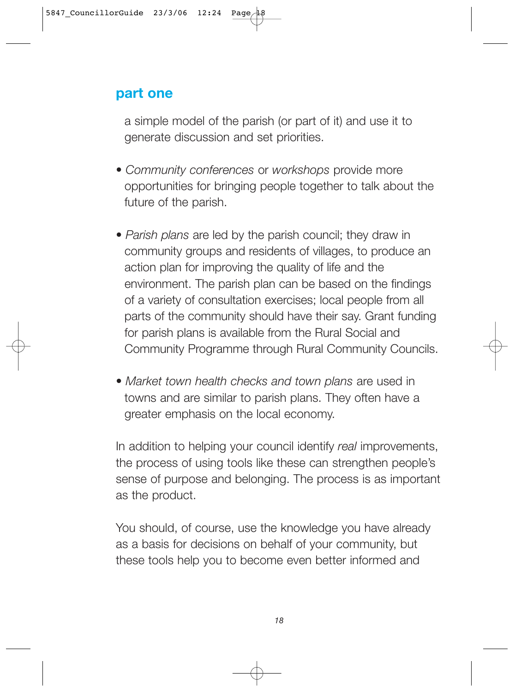# **part one**

a simple model of the parish (or part of it) and use it to generate discussion and set priorities.

- *Community conferences* or *workshops* provide more opportunities for bringing people together to talk about the future of the parish.
- *Parish plans* are led by the parish council; they draw in community groups and residents of villages, to produce an action plan for improving the quality of life and the environment. The parish plan can be based on the findings of a variety of consultation exercises; local people from all parts of the community should have their say. Grant funding for parish plans is available from the Rural Social and Community Programme through Rural Community Councils.
- *Market town health checks and town plans* are used in towns and are similar to parish plans. They often have a greater emphasis on the local economy.

In addition to helping your council identify *real* improvements, the process of using tools like these can strengthen people's sense of purpose and belonging. The process is as important as the product.

You should, of course, use the knowledge you have already as a basis for decisions on behalf of your community, but these tools help you to become even better informed and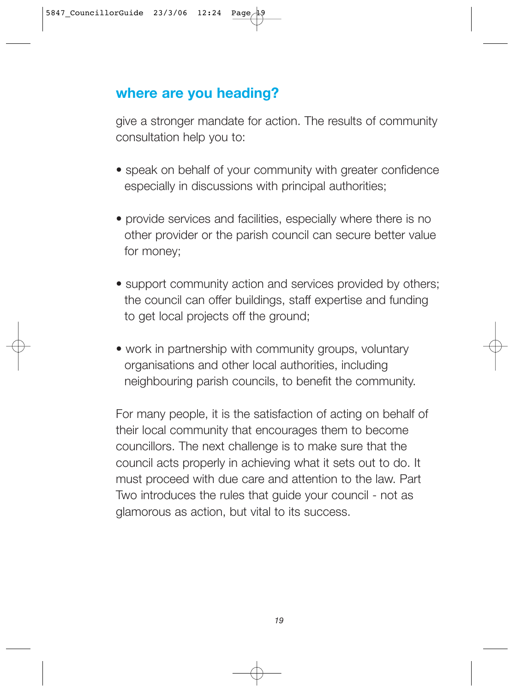# **where are you heading?**

give a stronger mandate for action. The results of community consultation help you to:

- speak on behalf of your community with greater confidence especially in discussions with principal authorities;
- provide services and facilities, especially where there is no other provider or the parish council can secure better value for money;
- support community action and services provided by others; the council can offer buildings, staff expertise and funding to get local projects off the ground;
- work in partnership with community groups, voluntary organisations and other local authorities, including neighbouring parish councils, to benefit the community.

For many people, it is the satisfaction of acting on behalf of their local community that encourages them to become councillors. The next challenge is to make sure that the council acts properly in achieving what it sets out to do. It must proceed with due care and attention to the law. Part Two introduces the rules that guide your council - not as glamorous as action, but vital to its success.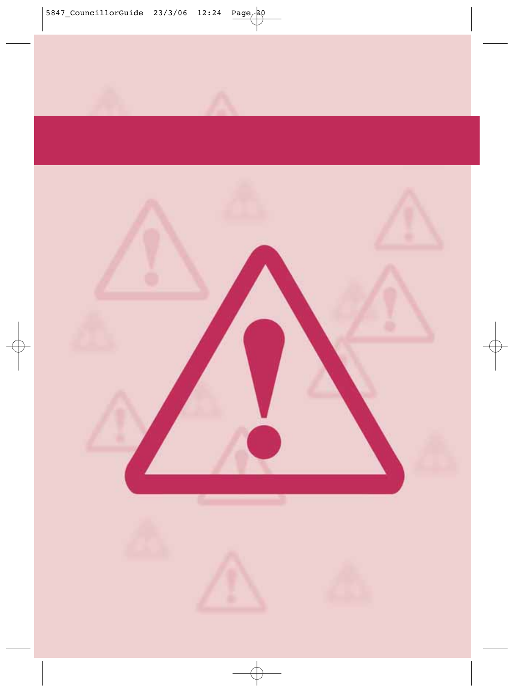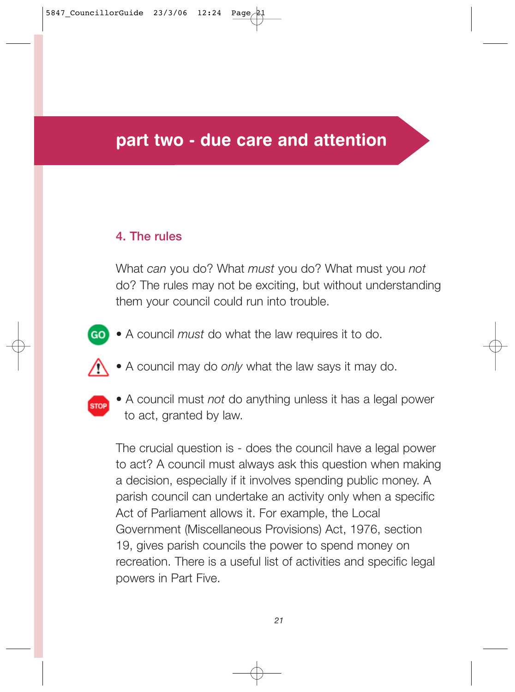# **part two - due care and attention**

### **4. The rules**

What *can* you do? What *must* you do? What must you *not* do? The rules may not be exciting, but without understanding them your council could run into trouble.

- 
- A council *must* do what the law requires it to do.
	- A council may do *only* what the law says it may do.



• A council must *not* do anything unless it has a legal power to act, granted by law.

The crucial question is - does the council have a legal power to act? A council must always ask this question when making a decision, especially if it involves spending public money. A parish council can undertake an activity only when a specific Act of Parliament allows it. For example, the Local Government (Miscellaneous Provisions) Act, 1976, section 19, gives parish councils the power to spend money on recreation. There is a useful list of activities and specific legal powers in Part Five.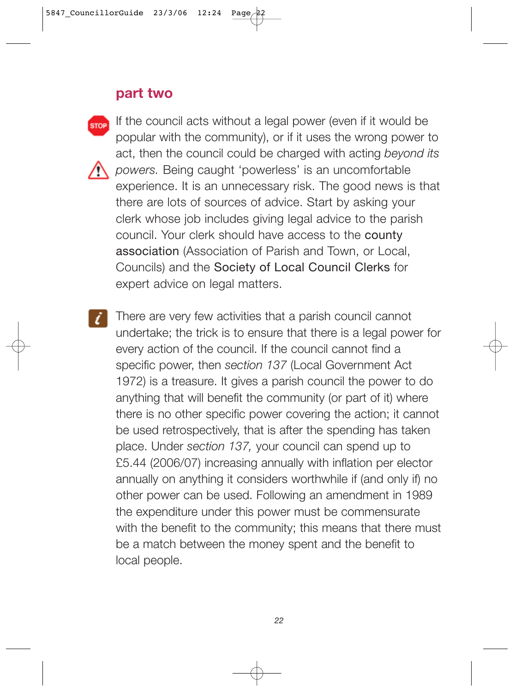- **STOP**
- 

If the council acts without a legal power (even if it would be popular with the community), or if it uses the wrong power to act, then the council could be charged with acting *beyond its powers.* Being caught 'powerless' is an uncomfortable experience. It is an unnecessary risk. The good news is that there are lots of sources of advice. Start by asking your clerk whose job includes giving legal advice to the parish council. Your clerk should have access to the county association (Association of Parish and Town, or Local, Councils) and the Society of Local Council Clerks for expert advice on legal matters.

 $\bullet$  There are very few activities that a parish council cannot undertake; the trick is to ensure that there is a legal power for every action of the council. If the council cannot find a specific power, then *section 137* (Local Government Act 1972) is a treasure. It gives a parish council the power to do anything that will benefit the community (or part of it) where there is no other specific power covering the action; it cannot be used retrospectively, that is after the spending has taken place. Under *section 137,* your council can spend up to £5.44 (2006/07) increasing annually with inflation per elector annually on anything it considers worthwhile if (and only if) no other power can be used. Following an amendment in 1989 the expenditure under this power must be commensurate with the benefit to the community; this means that there must be a match between the money spent and the benefit to local people.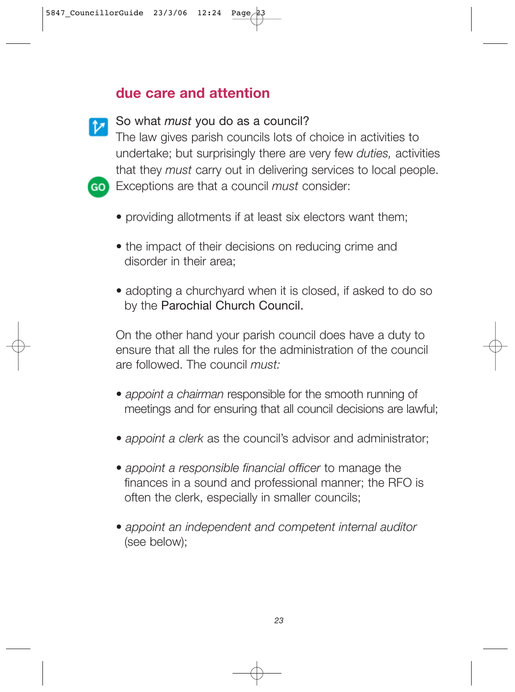# So what *must* you do as a council?

The law gives parish councils lots of choice in activities to undertake; but surprisingly there are very few *duties,* activities that they *must* carry out in delivering services to local people. Exceptions are that a council *must* consider:

- providing allotments if at least six electors want them;
- the impact of their decisions on reducing crime and disorder in their area;
- adopting a churchyard when it is closed, if asked to do so by the Parochial Church Council.

On the other hand your parish council does have a duty to ensure that all the rules for the administration of the council are followed. The council *must:*

- *appoint a chairman* responsible for the smooth running of meetings and for ensuring that all council decisions are lawful;
- *appoint a clerk* as the council's advisor and administrator;
- *appoint a responsible financial officer* to manage the finances in a sound and professional manner; the RFO is often the clerk, especially in smaller councils;
- *appoint an independent and competent internal auditor* (see below);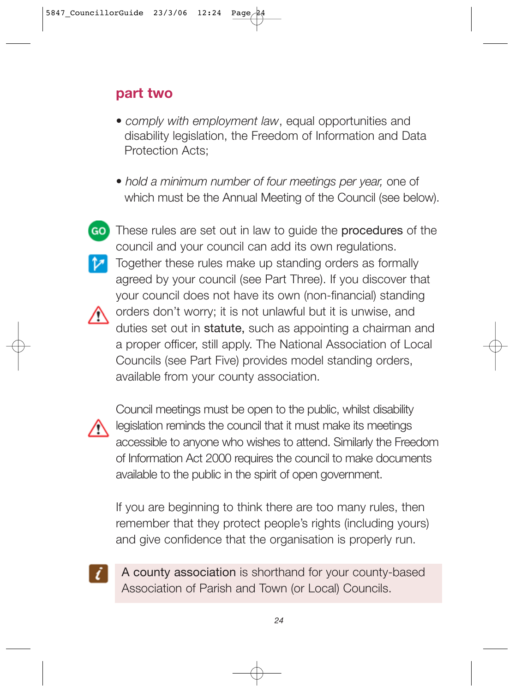- *comply with employment law*, equal opportunities and disability legislation, the Freedom of Information and Data Protection Acts;
- *hold a minimum number of four meetings per year,* one of which must be the Annual Meeting of the Council (see below).
- These rules are set out in law to guide the procedures of the council and your council can add its own regulations. **Together these rules make up standing orders as formally** agreed by your council (see Part Three). If you discover that your council does not have its own (non-financial) standing orders don't worry; it is not unlawful but it is unwise, and W. duties set out in statute, such as appointing a chairman and a proper officer, still apply. The National Association of Local Councils (see Part Five) provides model standing orders, available from your county association.



Council meetings must be open to the public, whilst disability legislation reminds the council that it must make its meetings accessible to anyone who wishes to attend. Similarly the Freedom of Information Act 2000 requires the council to make documents available to the public in the spirit of open government.

If you are beginning to think there are too many rules, then remember that they protect people's rights (including yours) and give confidence that the organisation is properly run.

Ĺ

A county association is shorthand for your county-based Association of Parish and Town (or Local) Councils.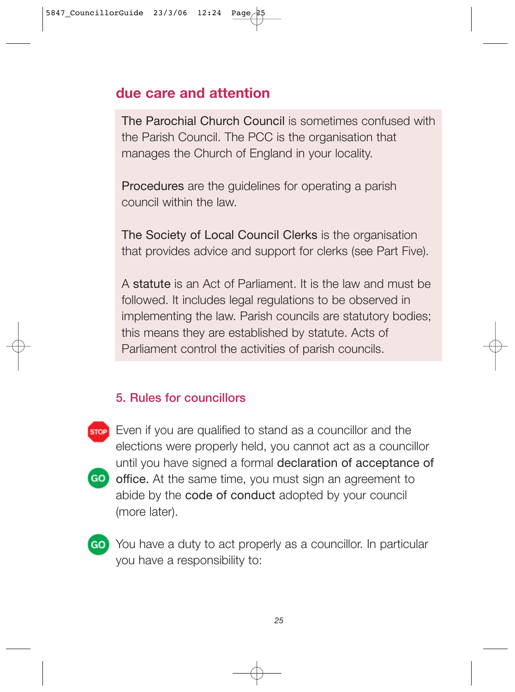The Parochial Church Council is sometimes confused with the Parish Council. The PCC is the organisation that manages the Church of England in your locality.

Procedures are the guidelines for operating a parish council within the law.

The Society of Local Council Clerks is the organisation that provides advice and support for clerks (see Part Five).

A statute is an Act of Parliament. It is the law and must be followed. It includes legal regulations to be observed in implementing the law. Parish councils are statutory bodies; this means they are established by statute. Acts of Parliament control the activities of parish councils.

### **5. Rules for councillors**

stop Even if you are qualified to stand as a councillor and the elections were properly held, you cannot act as a councillor until you have signed a formal declaration of acceptance of **GO** office. At the same time, you must sign an agreement to abide by the code of conduct adopted by your council (more later).

You have a duty to act properly as a councillor. In particular you have a responsibility to: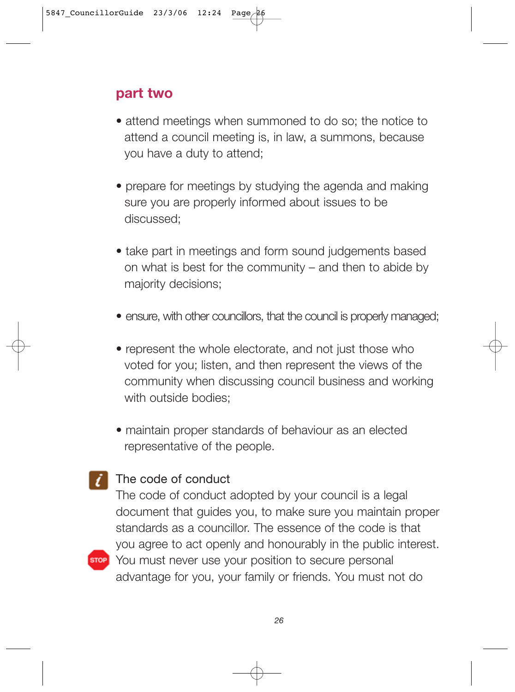- attend meetings when summoned to do so; the notice to attend a council meeting is, in law, a summons, because you have a duty to attend;
- prepare for meetings by studying the agenda and making sure you are properly informed about issues to be discussed;
- take part in meetings and form sound judgements based on what is best for the community – and then to abide by majority decisions;
- ensure, with other councillors, that the council is properly managed;
- represent the whole electorate, and not just those who voted for you; listen, and then represent the views of the community when discussing council business and working with outside bodies;
- maintain proper standards of behaviour as an elected representative of the people.

# The code of conduct

The code of conduct adopted by your council is a legal document that guides you, to make sure you maintain proper standards as a councillor. The essence of the code is that you agree to act openly and honourably in the public interest. stop You must never use your position to secure personal advantage for you, your family or friends. You must not do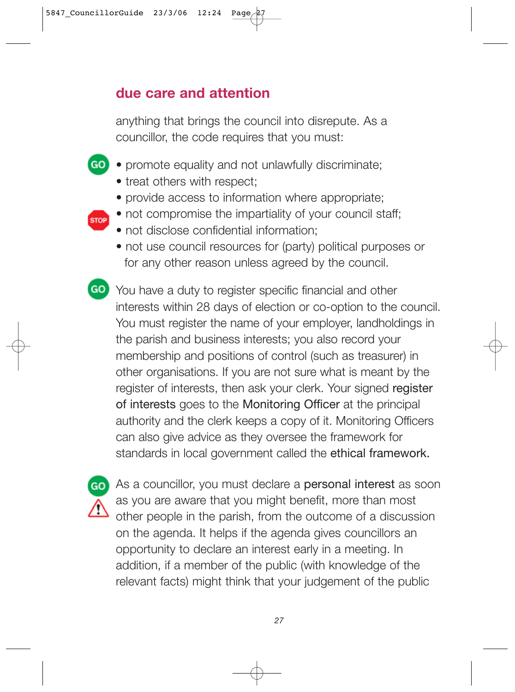anything that brings the council into disrepute. As a councillor, the code requires that you must:

- promote equality and not unlawfully discriminate;
	- treat others with respect:
	- provide access to information where appropriate;
	- not compromise the impartiality of your council staff;
	- not disclose confidential information:
	- not use council resources for (party) political purposes or for any other reason unless agreed by the council.
- You have a duty to register specific financial and other interests within 28 days of election or co-option to the council. You must register the name of your employer, landholdings in the parish and business interests; you also record your membership and positions of control (such as treasurer) in other organisations. If you are not sure what is meant by the register of interests, then ask your clerk. Your signed register of interests goes to the Monitoring Officer at the principal authority and the clerk keeps a copy of it. Monitoring Officers can also give advice as they oversee the framework for standards in local government called the ethical framework.
- GO I

**STOP** 

As a councillor, you must declare a personal interest as soon as you are aware that you might benefit, more than most other people in the parish, from the outcome of a discussion on the agenda. It helps if the agenda gives councillors an opportunity to declare an interest early in a meeting. In addition, if a member of the public (with knowledge of the relevant facts) might think that your judgement of the public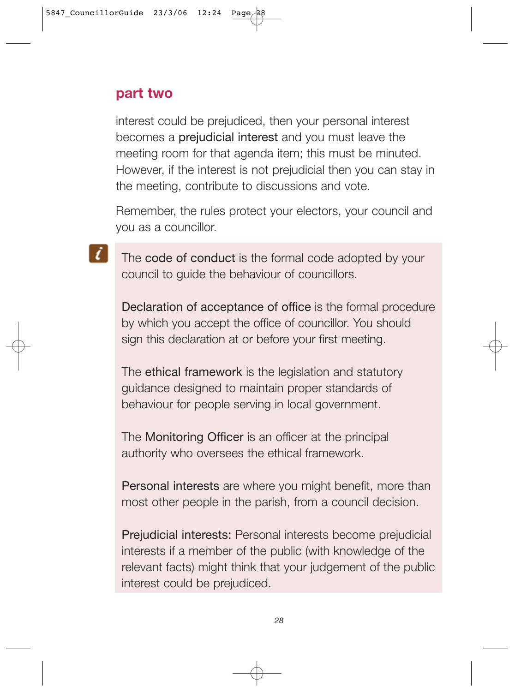$\mathcal{L}$ 

interest could be prejudiced, then your personal interest becomes a prejudicial interest and you must leave the meeting room for that agenda item; this must be minuted. However, if the interest is not prejudicial then you can stay in the meeting, contribute to discussions and vote.

Remember, the rules protect your electors, your council and you as a councillor.

The code of conduct is the formal code adopted by your council to guide the behaviour of councillors.

Declaration of acceptance of office is the formal procedure by which you accept the office of councillor. You should sign this declaration at or before your first meeting.

The ethical framework is the legislation and statutory guidance designed to maintain proper standards of behaviour for people serving in local government.

The Monitoring Officer is an officer at the principal authority who oversees the ethical framework.

Personal interests are where you might benefit, more than most other people in the parish, from a council decision.

Prejudicial interests: Personal interests become prejudicial interests if a member of the public (with knowledge of the relevant facts) might think that your judgement of the public interest could be prejudiced.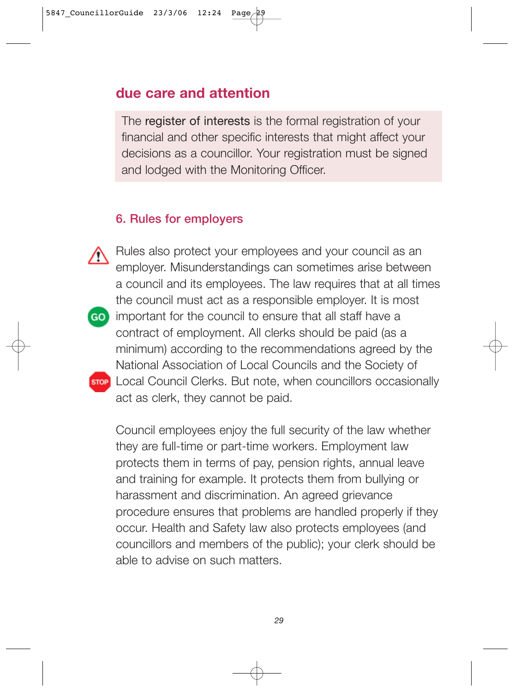The register of interests is the formal registration of your financial and other specific interests that might affect your decisions as a councillor. Your registration must be signed and lodged with the Monitoring Officer.

### **6. Rules for employers**

Rules also protect your employees and your council as an employer. Misunderstandings can sometimes arise between a council and its employees. The law requires that at all times the council must act as a responsible employer. It is most important for the council to ensure that all staff have a contract of employment. All clerks should be paid (as a minimum) according to the recommendations agreed by the National Association of Local Councils and the Society of stop Local Council Clerks. But note, when councillors occasionally act as clerk, they cannot be paid.

Council employees enjoy the full security of the law whether they are full-time or part-time workers. Employment law protects them in terms of pay, pension rights, annual leave and training for example. It protects them from bullying or harassment and discrimination. An agreed grievance procedure ensures that problems are handled properly if they occur. Health and Safety law also protects employees (and councillors and members of the public); your clerk should be able to advise on such matters.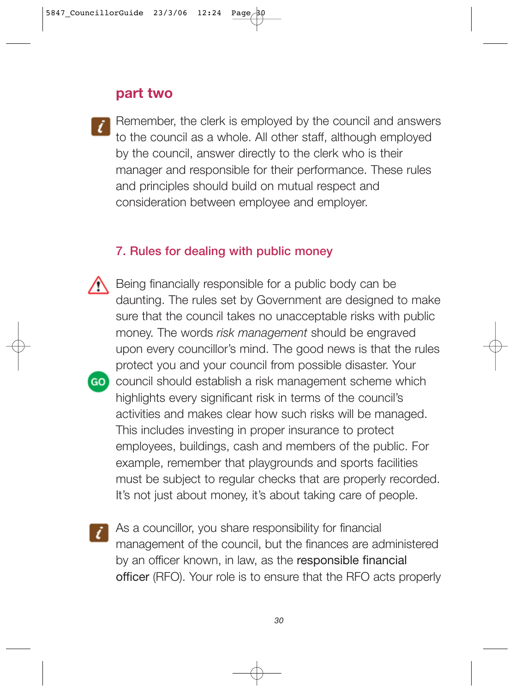Remember, the clerk is employed by the council and answers to the council as a whole. All other staff, although employed by the council, answer directly to the clerk who is their manager and responsible for their performance. These rules and principles should build on mutual respect and consideration between employee and employer.

### **7. Rules for dealing with public money**

- Being financially responsible for a public body can be W daunting. The rules set by Government are designed to make sure that the council takes no unacceptable risks with public money. The words *risk management* should be engraved upon every councillor's mind. The good news is that the rules protect you and your council from possible disaster. Your council should establish a risk management scheme which GO I highlights every significant risk in terms of the council's activities and makes clear how such risks will be managed. This includes investing in proper insurance to protect employees, buildings, cash and members of the public. For example, remember that playgrounds and sports facilities must be subject to regular checks that are properly recorded. It's not just about money, it's about taking care of people.
- As a councillor, you share responsibility for financial management of the council, but the finances are administered by an officer known, in law, as the responsible financial officer (RFO). Your role is to ensure that the RFO acts properly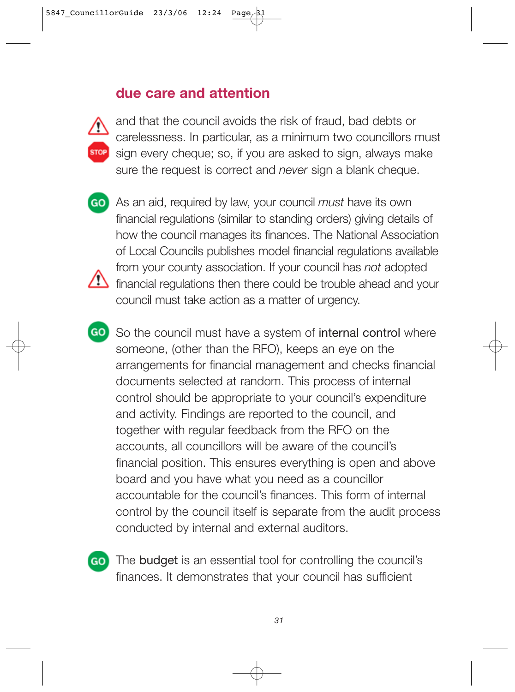

and that the council avoids the risk of fraud, bad debts or carelessness. In particular, as a minimum two councillors must sign every cheque; so, if you are asked to sign, always make sure the request is correct and *never* sign a blank cheque.



As an aid, required by law, your council *must* have its own financial regulations (similar to standing orders) giving details of how the council manages its finances. The National Association of Local Councils publishes model financial regulations available from your county association. If your council has *not* adopted  $\sum$  financial regulations then there could be trouble ahead and your council must take action as a matter of urgency.

GO So the council must have a system of internal control where someone, (other than the RFO), keeps an eye on the arrangements for financial management and checks financial documents selected at random. This process of internal control should be appropriate to your council's expenditure and activity. Findings are reported to the council, and together with regular feedback from the RFO on the accounts, all councillors will be aware of the council's financial position. This ensures everything is open and above board and you have what you need as a councillor accountable for the council's finances. This form of internal control by the council itself is separate from the audit process conducted by internal and external auditors.



The budget is an essential tool for controlling the council's finances. It demonstrates that your council has sufficient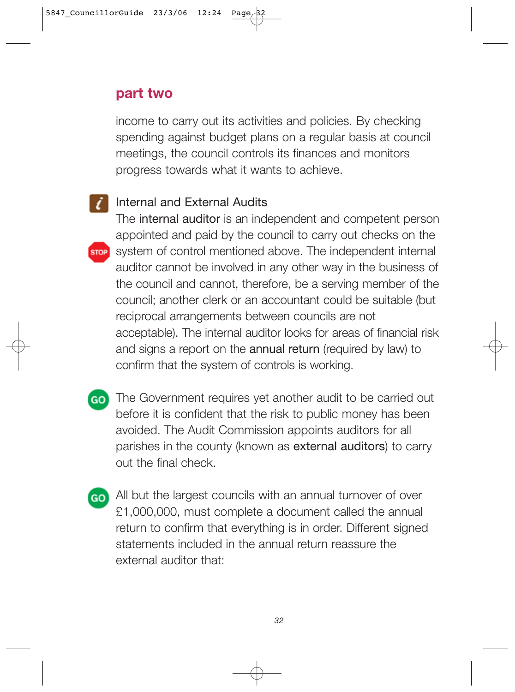income to carry out its activities and policies. By checking spending against budget plans on a regular basis at council meetings, the council controls its finances and monitors progress towards what it wants to achieve.

### Internal and External Audits

- The internal auditor is an independent and competent person appointed and paid by the council to carry out checks on the stop system of control mentioned above. The independent internal auditor cannot be involved in any other way in the business of the council and cannot, therefore, be a serving member of the council; another clerk or an accountant could be suitable (but reciprocal arrangements between councils are not acceptable). The internal auditor looks for areas of financial risk and signs a report on the annual return (required by law) to confirm that the system of controls is working.
- The Government requires yet another audit to be carried out before it is confident that the risk to public money has been avoided. The Audit Commission appoints auditors for all parishes in the county (known as external auditors) to carry out the final check.
- All but the largest councils with an annual turnover of over £1,000,000, must complete a document called the annual return to confirm that everything is in order. Different signed statements included in the annual return reassure the external auditor that: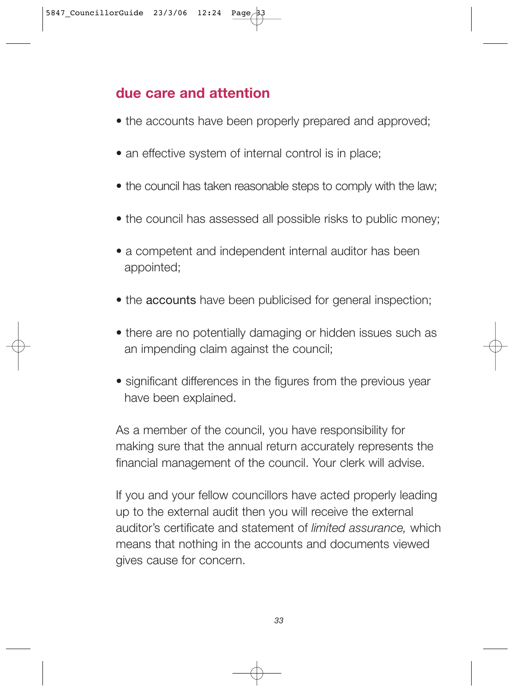- the accounts have been properly prepared and approved;
- an effective system of internal control is in place;
- the council has taken reasonable steps to comply with the law;
- the council has assessed all possible risks to public money;
- a competent and independent internal auditor has been appointed;
- the accounts have been publicised for general inspection;
- there are no potentially damaging or hidden issues such as an impending claim against the council;
- significant differences in the figures from the previous year have been explained.

As a member of the council, you have responsibility for making sure that the annual return accurately represents the financial management of the council. Your clerk will advise.

If you and your fellow councillors have acted properly leading up to the external audit then you will receive the external auditor's certificate and statement of *limited assurance,* which means that nothing in the accounts and documents viewed gives cause for concern.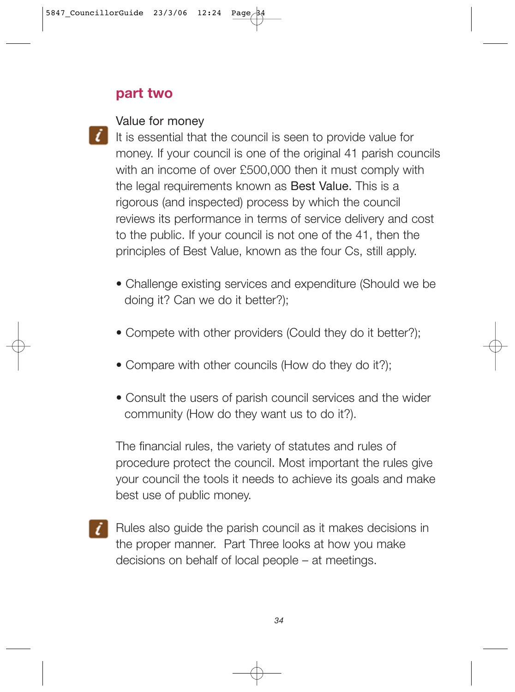### Value for money

 $\overline{I}$  It is essential that the council is seen to provide value for money. If your council is one of the original 41 parish councils with an income of over £500,000 then it must comply with the legal requirements known as Best Value. This is a rigorous (and inspected) process by which the council reviews its performance in terms of service delivery and cost to the public. If your council is not one of the 41, then the principles of Best Value, known as the four Cs, still apply.

- Challenge existing services and expenditure (Should we be doing it? Can we do it better?);
- Compete with other providers (Could they do it better?);
- Compare with other councils (How do they do it?);
- Consult the users of parish council services and the wider community (How do they want us to do it?).

The financial rules, the variety of statutes and rules of procedure protect the council. Most important the rules give your council the tools it needs to achieve its goals and make best use of public money.

Rules also guide the parish council as it makes decisions in the proper manner. Part Three looks at how you make decisions on behalf of local people – at meetings.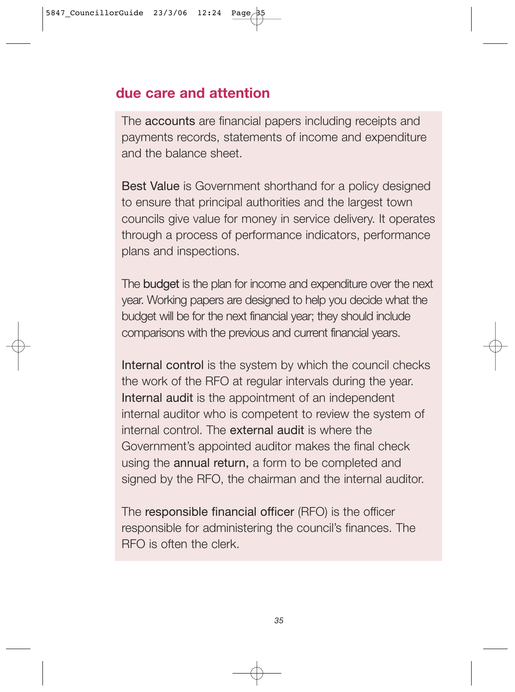The accounts are financial papers including receipts and payments records, statements of income and expenditure and the balance sheet.

Best Value is Government shorthand for a policy designed to ensure that principal authorities and the largest town councils give value for money in service delivery. It operates through a process of performance indicators, performance plans and inspections.

The budget is the plan for income and expenditure over the next year. Working papers are designed to help you decide what the budget will be for the next financial year; they should include comparisons with the previous and current financial years.

Internal control is the system by which the council checks the work of the RFO at regular intervals during the year. Internal audit is the appointment of an independent internal auditor who is competent to review the system of internal control. The external audit is where the Government's appointed auditor makes the final check using the annual return, a form to be completed and signed by the RFO, the chairman and the internal auditor.

The responsible financial officer (RFO) is the officer responsible for administering the council's finances. The RFO is often the clerk.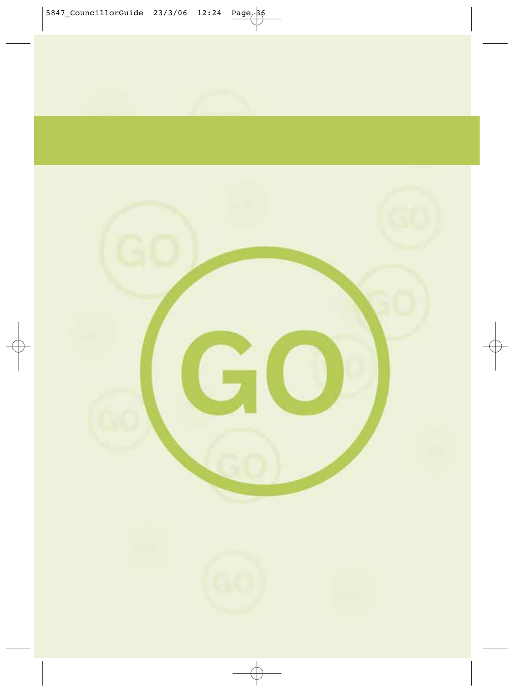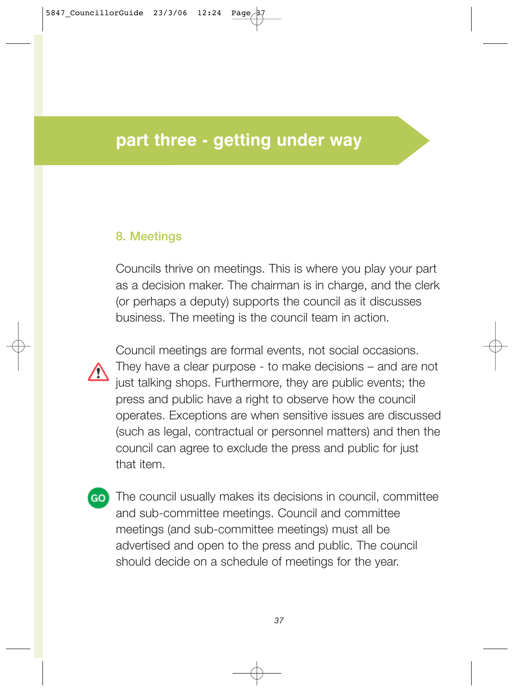# **part three - getting under way**

#### **8. Meetings**

Councils thrive on meetings. This is where you play your part as a decision maker. The chairman is in charge, and the clerk (or perhaps a deputy) supports the council as it discusses business. The meeting is the council team in action.

Council meetings are formal events, not social occasions. They have a clear purpose - to make decisions – and are not just talking shops. Furthermore, they are public events; the press and public have a right to observe how the council operates. Exceptions are when sensitive issues are discussed (such as legal, contractual or personnel matters) and then the council can agree to exclude the press and public for just that item.

The council usually makes its decisions in council, committee and sub-committee meetings. Council and committee meetings (and sub-committee meetings) must all be advertised and open to the press and public. The council should decide on a schedule of meetings for the year.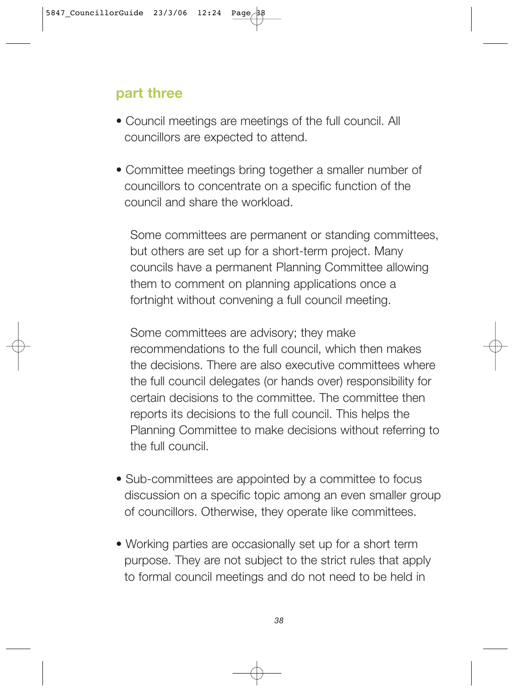### **part three**

- Council meetings are meetings of the full council. All councillors are expected to attend.
- Committee meetings bring together a smaller number of councillors to concentrate on a specific function of the council and share the workload.

Some committees are permanent or standing committees, but others are set up for a short-term project. Many councils have a permanent Planning Committee allowing them to comment on planning applications once a fortnight without convening a full council meeting.

Some committees are advisory; they make recommendations to the full council, which then makes the decisions. There are also executive committees where the full council delegates (or hands over) responsibility for certain decisions to the committee. The committee then reports its decisions to the full council. This helps the Planning Committee to make decisions without referring to the full council.

- Sub-committees are appointed by a committee to focus discussion on a specific topic among an even smaller group of councillors. Otherwise, they operate like committees.
- Working parties are occasionally set up for a short term purpose. They are not subject to the strict rules that apply to formal council meetings and do not need to be held in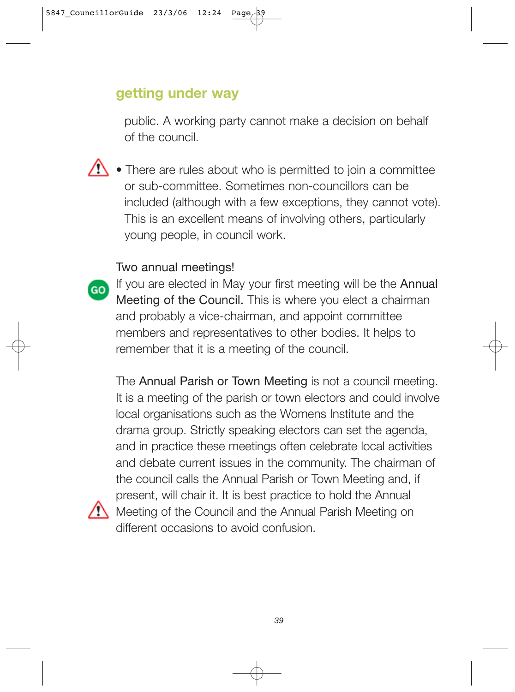## **getting under way**

public. A working party cannot make a decision on behalf of the council.

- - There are rules about who is permitted to join a committee or sub-committee. Sometimes non-councillors can be included (although with a few exceptions, they cannot vote). This is an excellent means of involving others, particularly young people, in council work.

#### Two annual meetings!



The Annual Parish or Town Meeting is not a council meeting. It is a meeting of the parish or town electors and could involve local organisations such as the Womens Institute and the drama group. Strictly speaking electors can set the agenda, and in practice these meetings often celebrate local activities and debate current issues in the community. The chairman of the council calls the Annual Parish or Town Meeting and, if present, will chair it. It is best practice to hold the Annual Meeting of the Council and the Annual Parish Meeting on different occasions to avoid confusion.

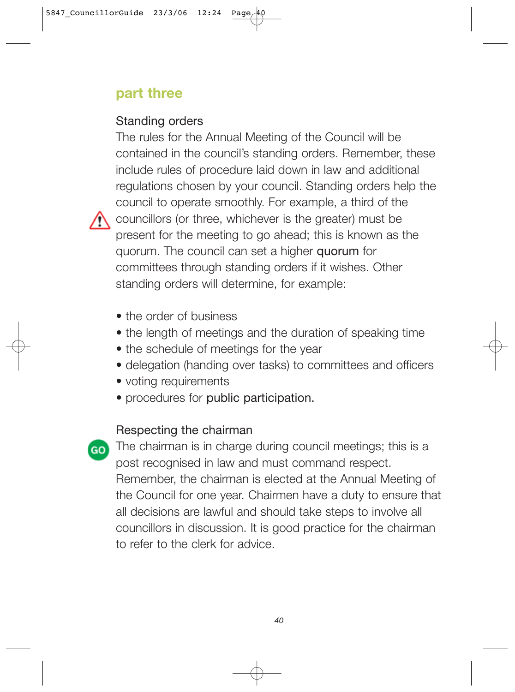### **part three**

#### Standing orders

The rules for the Annual Meeting of the Council will be contained in the council's standing orders. Remember, these include rules of procedure laid down in law and additional regulations chosen by your council. Standing orders help the council to operate smoothly. For example, a third of the councillors (or three, whichever is the greater) must be present for the meeting to go ahead; this is known as the quorum. The council can set a higher quorum for committees through standing orders if it wishes. Other standing orders will determine, for example:

- the order of business
- the length of meetings and the duration of speaking time
- the schedule of meetings for the year
- delegation (handing over tasks) to committees and officers
- voting requirements
- procedures for public participation.

#### Respecting the chairman

The chairman is in charge during council meetings; this is a post recognised in law and must command respect. Remember, the chairman is elected at the Annual Meeting of the Council for one year. Chairmen have a duty to ensure that all decisions are lawful and should take steps to involve all councillors in discussion. It is good practice for the chairman to refer to the clerk for advice.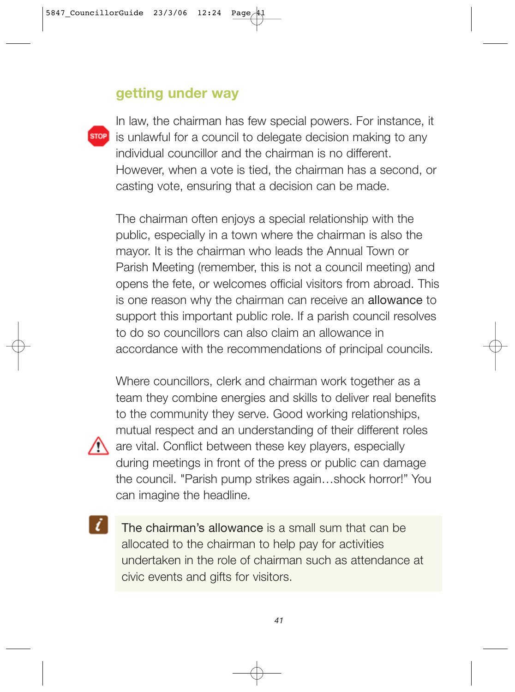#### **getting under way**



In law, the chairman has few special powers. For instance, it stop is unlawful for a council to delegate decision making to any individual councillor and the chairman is no different. However, when a vote is tied, the chairman has a second, or casting vote, ensuring that a decision can be made.

The chairman often enjoys a special relationship with the public, especially in a town where the chairman is also the mayor. It is the chairman who leads the Annual Town or Parish Meeting (remember, this is not a council meeting) and opens the fete, or welcomes official visitors from abroad. This is one reason why the chairman can receive an allowance to support this important public role. If a parish council resolves to do so councillors can also claim an allowance in accordance with the recommendations of principal councils.

Where councillors, clerk and chairman work together as a team they combine energies and skills to deliver real benefits to the community they serve. Good working relationships, mutual respect and an understanding of their different roles are vital. Conflict between these key players, especially during meetings in front of the press or public can damage the council. "Parish pump strikes again…shock horror!" You can imagine the headline.

 $\mathcal{L}$ The chairman's allowance is a small sum that can be allocated to the chairman to help pay for activities undertaken in the role of chairman such as attendance at civic events and gifts for visitors.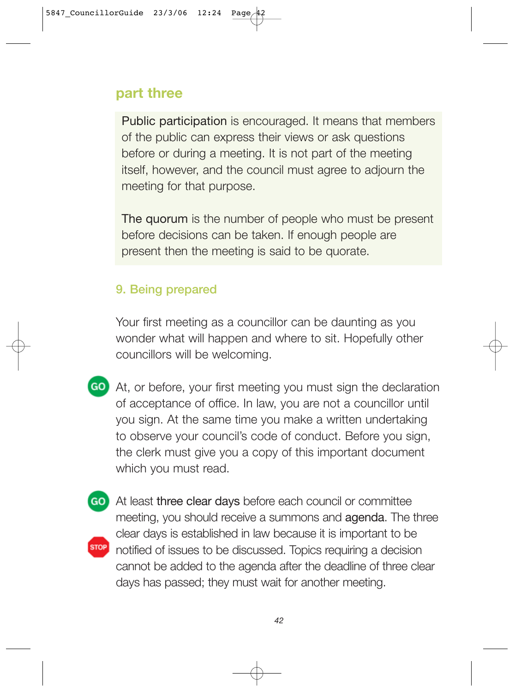### **part three**

Public participation is encouraged. It means that members of the public can express their views or ask questions before or during a meeting. It is not part of the meeting itself, however, and the council must agree to adjourn the meeting for that purpose.

The quorum is the number of people who must be present before decisions can be taken. If enough people are present then the meeting is said to be quorate.

#### **9. Being prepared**

Your first meeting as a councillor can be daunting as you wonder what will happen and where to sit. Hopefully other councillors will be welcoming.

- At, or before, your first meeting you must sign the declaration of acceptance of office. In law, you are not a councillor until you sign. At the same time you make a written undertaking to observe your council's code of conduct. Before you sign, the clerk must give you a copy of this important document which you must read.
- 

At least three clear days before each council or committee meeting, you should receive a summons and agenda. The three clear days is established in law because it is important to be stop notified of issues to be discussed. Topics requiring a decision cannot be added to the agenda after the deadline of three clear days has passed; they must wait for another meeting.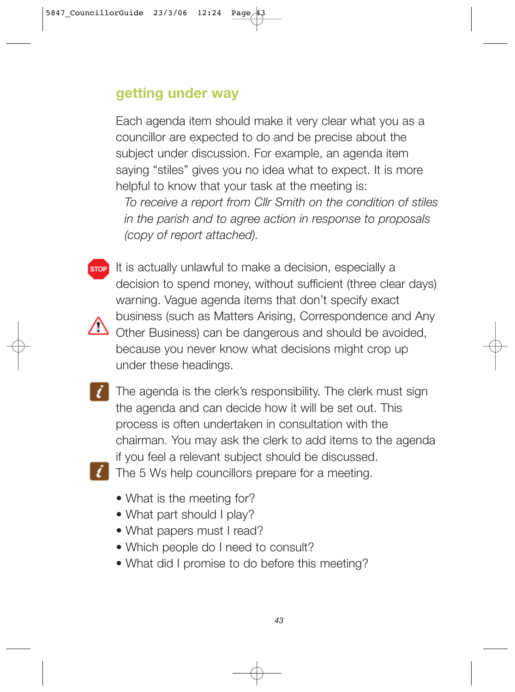### **getting under way**

Each agenda item should make it very clear what you as a councillor are expected to do and be precise about the subject under discussion. For example, an agenda item saying "stiles" gives you no idea what to expect. It is more helpful to know that your task at the meeting is:

*To receive a report from Cllr Smith on the condition of stiles in the parish and to agree action in response to proposals (copy of report attached).*



stop It is actually unlawful to make a decision, especially a decision to spend money, without sufficient (three clear days) warning. Vague agenda items that don't specify exact business (such as Matters Arising, Correspondence and Any Other Business) can be dangerous and should be avoided, because you never know what decisions might crop up under these headings.

 $\mathcal{T}$  The agenda is the clerk's responsibility. The clerk must sign the agenda and can decide how it will be set out. This process is often undertaken in consultation with the chairman. You may ask the clerk to add items to the agenda if you feel a relevant subject should be discussed.

**The 5 Ws help councillors prepare for a meeting.** 

- What is the meeting for?
- What part should I play?
- What papers must I read?
- Which people do I need to consult?
- What did I promise to do before this meeting?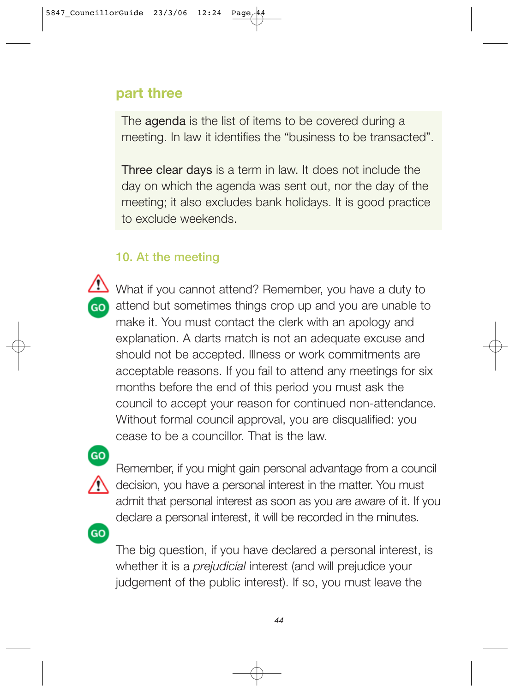### **part three**

The agenda is the list of items to be covered during a meeting. In law it identifies the "business to be transacted".

Three clear days is a term in law. It does not include the day on which the agenda was sent out, nor the day of the meeting; it also excludes bank holidays. It is good practice to exclude weekends.

#### **10. At the meeting**



What if you cannot attend? Remember, you have a duty to attend but sometimes things crop up and you are unable to make it. You must contact the clerk with an apology and explanation. A darts match is not an adequate excuse and should not be accepted. Illness or work commitments are acceptable reasons. If you fail to attend any meetings for six months before the end of this period you must ask the council to accept your reason for continued non-attendance. Without formal council approval, you are disqualified: you cease to be a councillor. That is the law.



Λ

Remember, if you might gain personal advantage from a council decision, you have a personal interest in the matter. You must admit that personal interest as soon as you are aware of it. If you declare a personal interest, it will be recorded in the minutes.

 $\overline{GO}$ 

The big question, if you have declared a personal interest, is whether it is a *prejudicial* interest (and will prejudice your judgement of the public interest). If so, you must leave the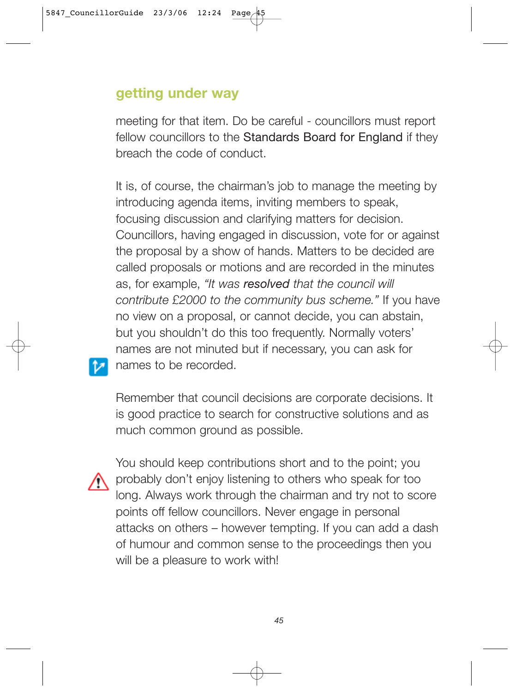### **getting under way**

meeting for that item. Do be careful - councillors must report fellow councillors to the Standards Board for England if they breach the code of conduct.

It is, of course, the chairman's job to manage the meeting by introducing agenda items, inviting members to speak, focusing discussion and clarifying matters for decision. Councillors, having engaged in discussion, vote for or against the proposal by a show of hands. Matters to be decided are called proposals or motions and are recorded in the minutes as, for example, *"It was resolved that the council will contribute £2000 to the community bus scheme."* If you have no view on a proposal, or cannot decide, you can abstain, but you shouldn't do this too frequently. Normally voters' names are not minuted but if necessary, you can ask for names to be recorded.

Remember that council decisions are corporate decisions. It is good practice to search for constructive solutions and as much common ground as possible.



 $\mathcal{V}$ 

You should keep contributions short and to the point; you probably don't enjoy listening to others who speak for too long. Always work through the chairman and try not to score points off fellow councillors. Never engage in personal attacks on others – however tempting. If you can add a dash of humour and common sense to the proceedings then you will be a pleasure to work with!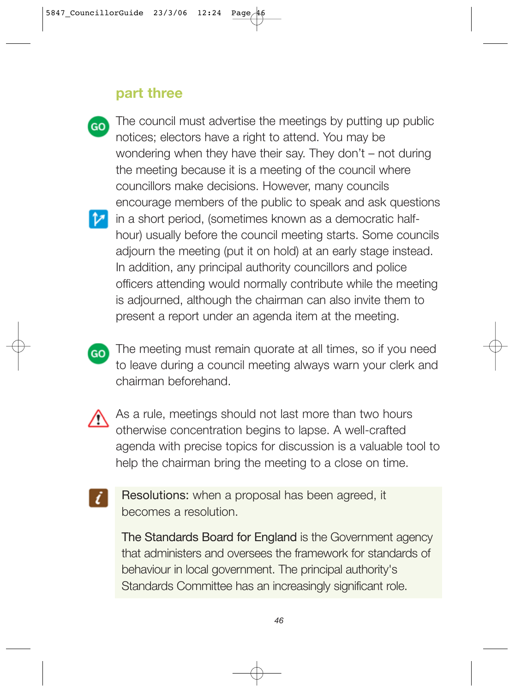### **part three**

The council must advertise the meetings by putting up public  $Go)$ notices; electors have a right to attend. You may be wondering when they have their say. They don't – not during the meeting because it is a meeting of the council where councillors make decisions. However, many councils encourage members of the public to speak and ask questions **in** a short period, (sometimes known as a democratic halfhour) usually before the council meeting starts. Some councils adjourn the meeting (put it on hold) at an early stage instead. In addition, any principal authority councillors and police officers attending would normally contribute while the meeting is adjourned, although the chairman can also invite them to present a report under an agenda item at the meeting.

The meeting must remain quorate at all times, so if you need to leave during a council meeting always warn your clerk and chairman beforehand.



Ĺ

As a rule, meetings should not last more than two hours otherwise concentration begins to lapse. A well-crafted agenda with precise topics for discussion is a valuable tool to help the chairman bring the meeting to a close on time.

### Resolutions: when a proposal has been agreed, it becomes a resolution.

The Standards Board for England is the Government agency that administers and oversees the framework for standards of behaviour in local government. The principal authority's Standards Committee has an increasingly significant role.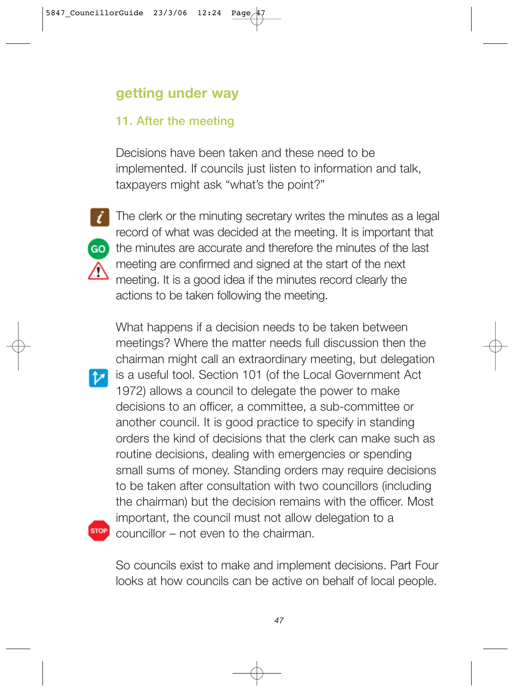## **getting under way**

#### **11. After the meeting**

Decisions have been taken and these need to be implemented. If councils just listen to information and talk, taxpayers might ask "what's the point?"

 $\wedge$ 

The clerk or the minuting secretary writes the minutes as a legal record of what was decided at the meeting. It is important that the minutes are accurate and therefore the minutes of the last meeting are confirmed and signed at the start of the next meeting. It is a good idea if the minutes record clearly the actions to be taken following the meeting.

What happens if a decision needs to be taken between meetings? Where the matter needs full discussion then the chairman might call an extraordinary meeting, but delegation is a useful tool. Section 101 (of the Local Government Act 1972) allows a council to delegate the power to make decisions to an officer, a committee, a sub-committee or another council. It is good practice to specify in standing orders the kind of decisions that the clerk can make such as routine decisions, dealing with emergencies or spending small sums of money. Standing orders may require decisions to be taken after consultation with two councillors (including the chairman) but the decision remains with the officer. Most important, the council must not allow delegation to a **STOP** councillor – not even to the chairman.

So councils exist to make and implement decisions. Part Four looks at how councils can be active on behalf of local people.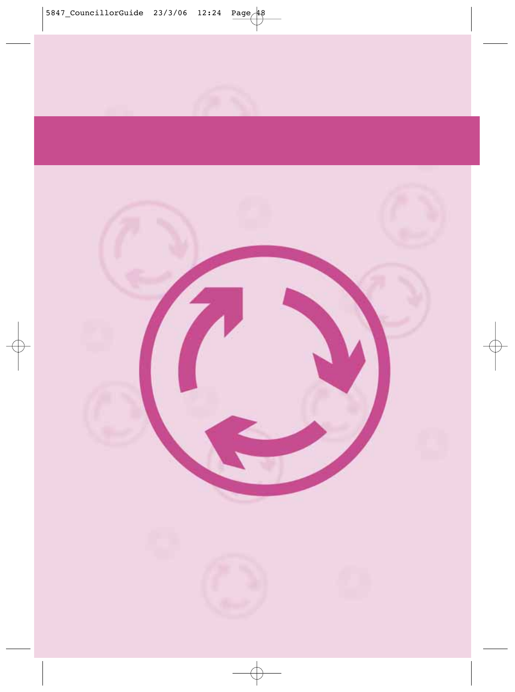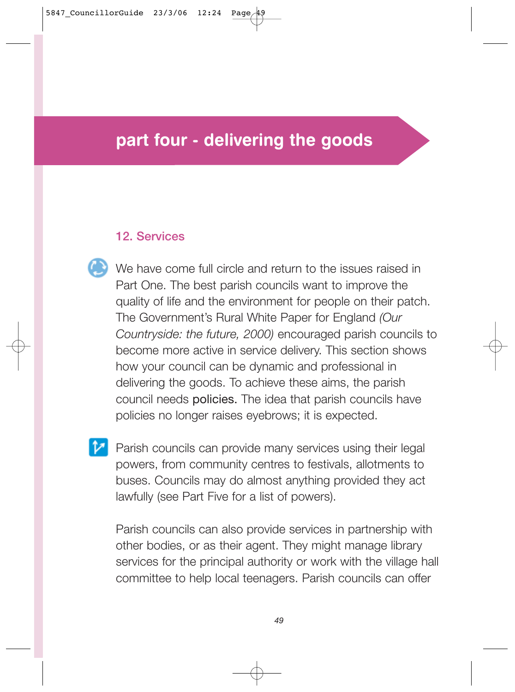# **part four - delivering the goods**

#### **12. Services**

We have come full circle and return to the issues raised in Part One. The best parish councils want to improve the quality of life and the environment for people on their patch. The Government's Rural White Paper for England *(Our Countryside: the future, 2000)* encouraged parish councils to become more active in service delivery. This section shows how your council can be dynamic and professional in delivering the goods. To achieve these aims, the parish council needs policies. The idea that parish councils have policies no longer raises eyebrows; it is expected.

**Parish councils can provide many services using their legal** powers, from community centres to festivals, allotments to buses. Councils may do almost anything provided they act lawfully (see Part Five for a list of powers).

Parish councils can also provide services in partnership with other bodies, or as their agent. They might manage library services for the principal authority or work with the village hall committee to help local teenagers. Parish councils can offer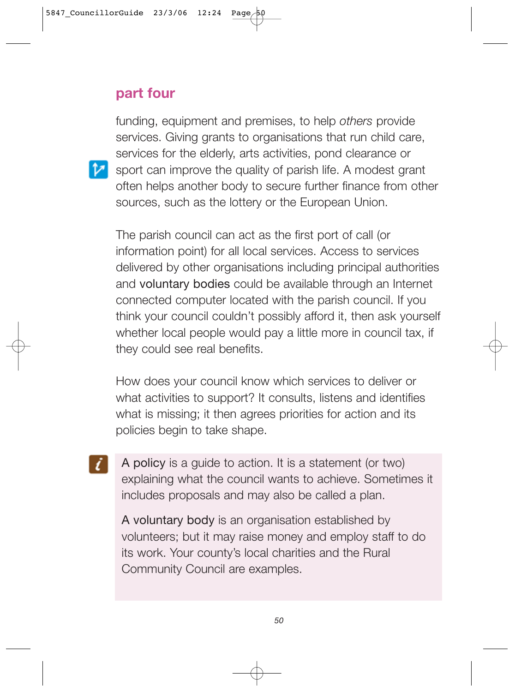### **part four**

funding, equipment and premises, to help *others* provide services. Giving grants to organisations that run child care, services for the elderly, arts activities, pond clearance or  $\mathcal{V}$  sport can improve the quality of parish life. A modest grant often helps another body to secure further finance from other sources, such as the lottery or the European Union.

The parish council can act as the first port of call (or information point) for all local services. Access to services delivered by other organisations including principal authorities and voluntary bodies could be available through an Internet connected computer located with the parish council. If you think your council couldn't possibly afford it, then ask yourself whether local people would pay a little more in council tax, if they could see real benefits.

How does your council know which services to deliver or what activities to support? It consults, listens and identifies what is missing; it then agrees priorities for action and its policies begin to take shape.

A policy is a guide to action. It is a statement (or two) explaining what the council wants to achieve. Sometimes it includes proposals and may also be called a plan.

A voluntary body is an organisation established by volunteers; but it may raise money and employ staff to do its work. Your county's local charities and the Rural Community Council are examples.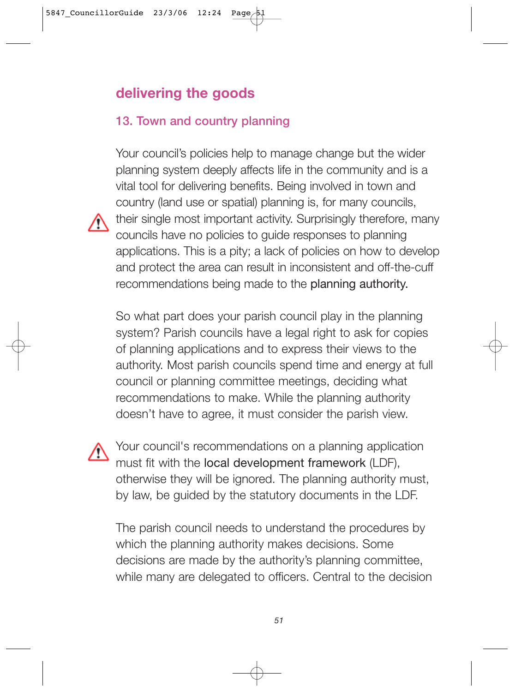# **delivering the goods**

#### **13. Town and country planning**

Your council's policies help to manage change but the wider planning system deeply affects life in the community and is a vital tool for delivering benefits. Being involved in town and country (land use or spatial) planning is, for many councils, their single most important activity. Surprisingly therefore, many councils have no policies to guide responses to planning applications. This is a pity; a lack of policies on how to develop and protect the area can result in inconsistent and off-the-cuff recommendations being made to the planning authority.

So what part does your parish council play in the planning system? Parish councils have a legal right to ask for copies of planning applications and to express their views to the authority. Most parish councils spend time and energy at full council or planning committee meetings, deciding what recommendations to make. While the planning authority doesn't have to agree, it must consider the parish view.

Your council's recommendations on a planning application must fit with the local development framework (LDF), otherwise they will be ignored. The planning authority must, by law, be guided by the statutory documents in the LDF.

The parish council needs to understand the procedures by which the planning authority makes decisions. Some decisions are made by the authority's planning committee, while many are delegated to officers. Central to the decision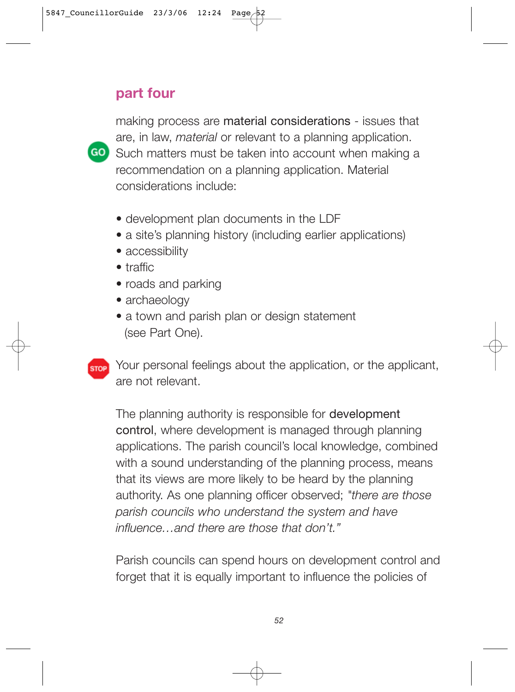## **part four**



making process are material considerations - issues that are, in law, *material* or relevant to a planning application. **GO** Such matters must be taken into account when making a recommendation on a planning application. Material considerations include:

- development plan documents in the LDF
- a site's planning history (including earlier applications)
- accessibility
- traffic
- roads and parking
- archaeology
- a town and parish plan or design statement (see Part One).
- 

stop Your personal feelings about the application, or the applicant, are not relevant.

The planning authority is responsible for development control, where development is managed through planning applications. The parish council's local knowledge, combined with a sound understanding of the planning process, means that its views are more likely to be heard by the planning authority. As one planning officer observed; *"there are those parish councils who understand the system and have influence…and there are those that don't."*

Parish councils can spend hours on development control and forget that it is equally important to influence the policies of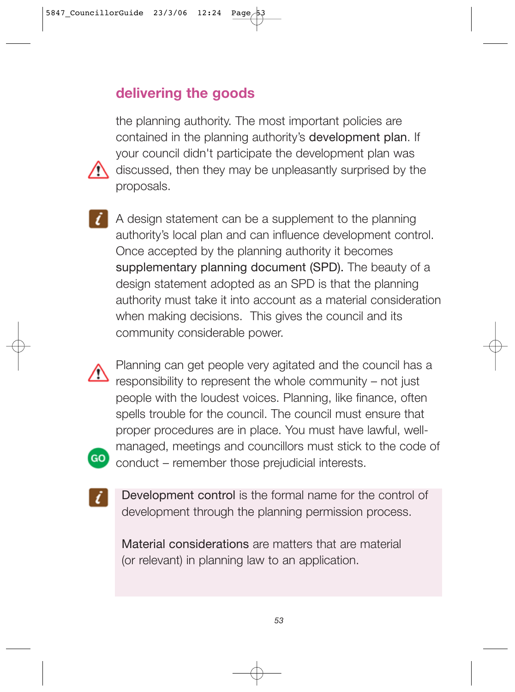# **delivering the goods**

the planning authority. The most important policies are contained in the planning authority's development plan. If your council didn't participate the development plan was discussed, then they may be unpleasantly surprised by the proposals.

- $\overline{A}$  A design statement can be a supplement to the planning authority's local plan and can influence development control. Once accepted by the planning authority it becomes supplementary planning document (SPD). The beauty of a design statement adopted as an SPD is that the planning authority must take it into account as a material consideration when making decisions. This gives the council and its community considerable power.
- Planning can get people very agitated and the council has a responsibility to represent the whole community – not just people with the loudest voices. Planning, like finance, often spells trouble for the council. The council must ensure that proper procedures are in place. You must have lawful, wellmanaged, meetings and councillors must stick to the code of  $GO$ conduct – remember those prejudicial interests.
- İ.

Development control is the formal name for the control of development through the planning permission process.

Material considerations are matters that are material (or relevant) in planning law to an application.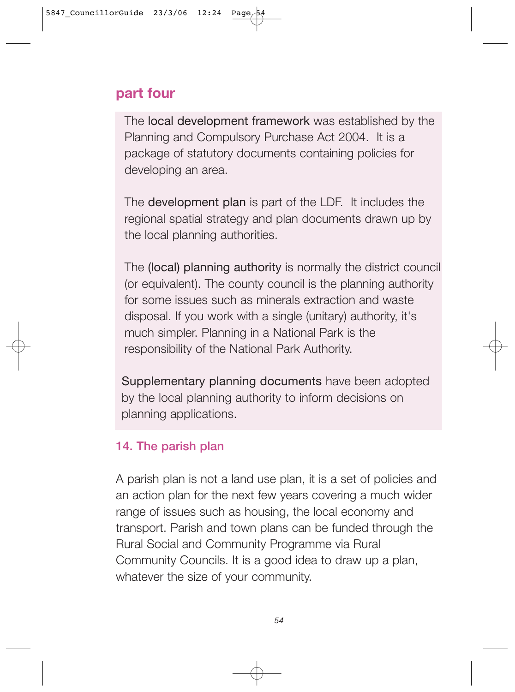### **part four**

The local development framework was established by the Planning and Compulsory Purchase Act 2004. It is a package of statutory documents containing policies for developing an area.

The development plan is part of the LDF. It includes the regional spatial strategy and plan documents drawn up by the local planning authorities.

The (local) planning authority is normally the district council (or equivalent). The county council is the planning authority for some issues such as minerals extraction and waste disposal. If you work with a single (unitary) authority, it's much simpler. Planning in a National Park is the responsibility of the National Park Authority.

Supplementary planning documents have been adopted by the local planning authority to inform decisions on planning applications.

#### **14. The parish plan**

A parish plan is not a land use plan, it is a set of policies and an action plan for the next few years covering a much wider range of issues such as housing, the local economy and transport. Parish and town plans can be funded through the Rural Social and Community Programme via Rural Community Councils. It is a good idea to draw up a plan, whatever the size of your community.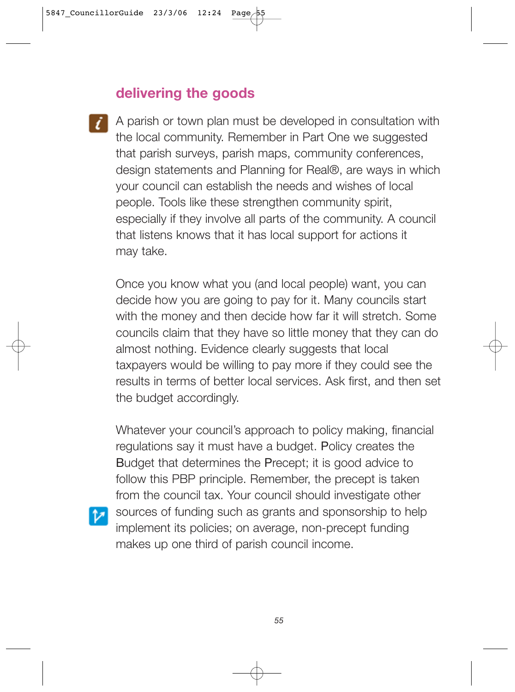### **delivering the goods**

 $\mathcal{V}$ 

A parish or town plan must be developed in consultation with the local community. Remember in Part One we suggested that parish surveys, parish maps, community conferences, design statements and Planning for Real®, are ways in which your council can establish the needs and wishes of local people. Tools like these strengthen community spirit, especially if they involve all parts of the community. A council that listens knows that it has local support for actions it may take.

Once you know what you (and local people) want, you can decide how you are going to pay for it. Many councils start with the money and then decide how far it will stretch. Some councils claim that they have so little money that they can do almost nothing. Evidence clearly suggests that local taxpayers would be willing to pay more if they could see the results in terms of better local services. Ask first, and then set the budget accordingly.

Whatever your council's approach to policy making, financial regulations say it must have a budget. Policy creates the Budget that determines the Precept; it is good advice to follow this PBP principle. Remember, the precept is taken from the council tax. Your council should investigate other sources of funding such as grants and sponsorship to help implement its policies; on average, non-precept funding makes up one third of parish council income.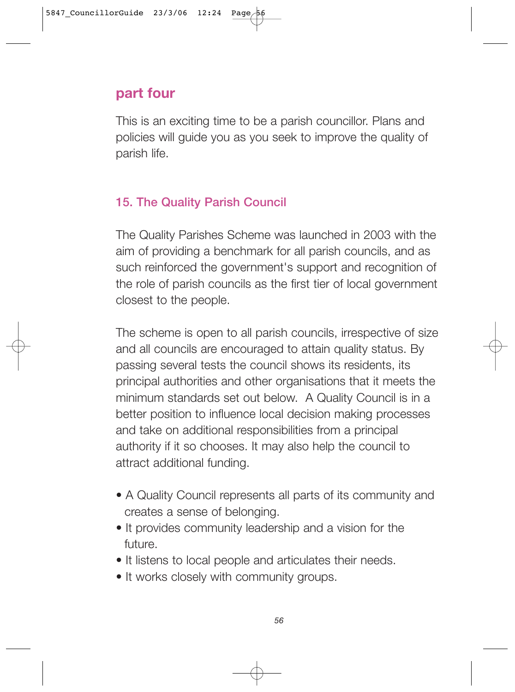### **part four**

This is an exciting time to be a parish councillor. Plans and policies will guide you as you seek to improve the quality of parish life.

#### **15. The Quality Parish Council**

The Quality Parishes Scheme was launched in 2003 with the aim of providing a benchmark for all parish councils, and as such reinforced the government's support and recognition of the role of parish councils as the first tier of local government closest to the people.

The scheme is open to all parish councils, irrespective of size and all councils are encouraged to attain quality status. By passing several tests the council shows its residents, its principal authorities and other organisations that it meets the minimum standards set out below. A Quality Council is in a better position to influence local decision making processes and take on additional responsibilities from a principal authority if it so chooses. It may also help the council to attract additional funding.

- A Quality Council represents all parts of its community and creates a sense of belonging.
- It provides community leadership and a vision for the future.
- It listens to local people and articulates their needs.
- It works closely with community groups.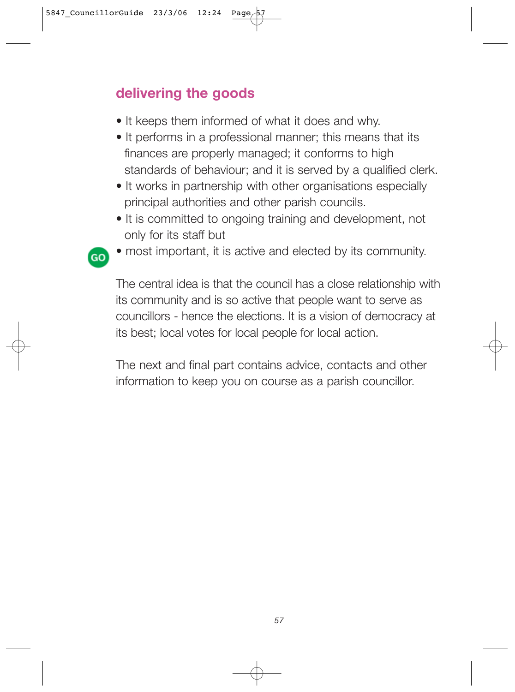# **delivering the goods**

 $\overline{GO}$ 

- It keeps them informed of what it does and why.
- It performs in a professional manner; this means that its finances are properly managed; it conforms to high standards of behaviour; and it is served by a qualified clerk.
- It works in partnership with other organisations especially principal authorities and other parish councils.
- It is committed to ongoing training and development, not only for its staff but
- most important, it is active and elected by its community.

The central idea is that the council has a close relationship with its community and is so active that people want to serve as councillors - hence the elections. It is a vision of democracy at its best; local votes for local people for local action.

The next and final part contains advice, contacts and other information to keep you on course as a parish councillor.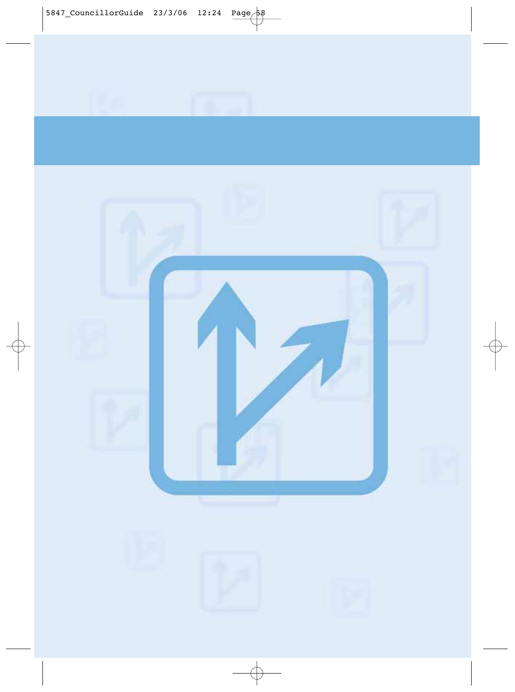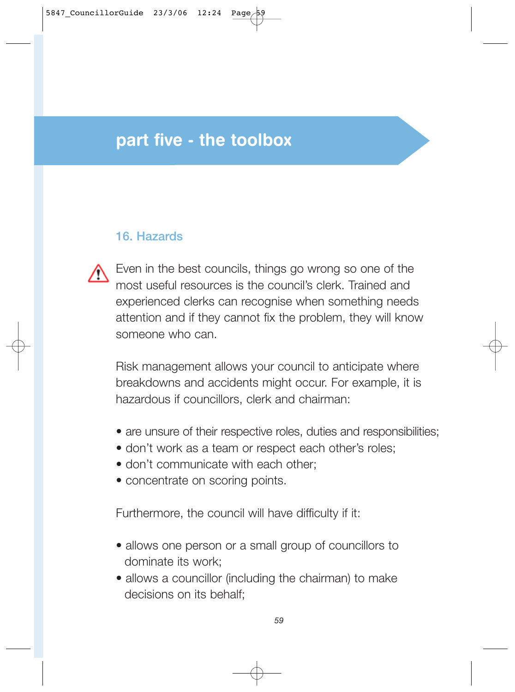# **part five - the toolbox**

#### **16. Hazards**



Even in the best councils, things go wrong so one of the most useful resources is the council's clerk. Trained and experienced clerks can recognise when something needs attention and if they cannot fix the problem, they will know someone who can.

Risk management allows your council to anticipate where breakdowns and accidents might occur. For example, it is hazardous if councillors, clerk and chairman:

- are unsure of their respective roles, duties and responsibilities;
- don't work as a team or respect each other's roles;
- don't communicate with each other:
- concentrate on scoring points.

Furthermore, the council will have difficulty if it:

- allows one person or a small group of councillors to dominate its work;
- allows a councillor (including the chairman) to make decisions on its behalf;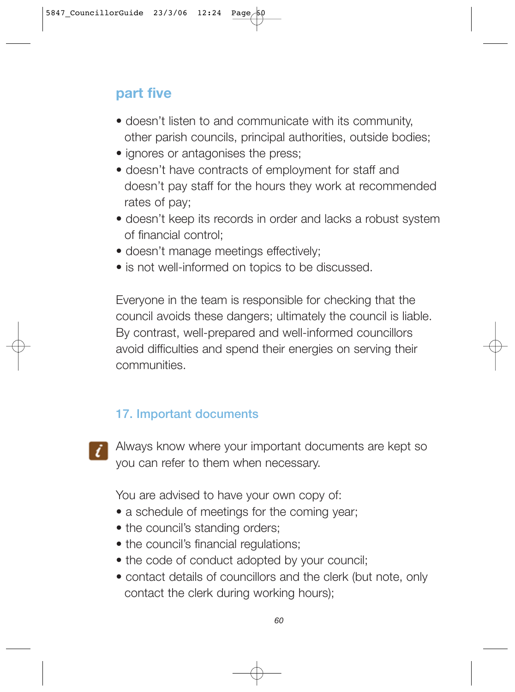- doesn't listen to and communicate with its community, other parish councils, principal authorities, outside bodies;
- ignores or antagonises the press;
- doesn't have contracts of employment for staff and doesn't pay staff for the hours they work at recommended rates of pay;
- doesn't keep its records in order and lacks a robust system of financial control;
- doesn't manage meetings effectively;
- is not well-informed on topics to be discussed.

Everyone in the team is responsible for checking that the council avoids these dangers; ultimately the council is liable. By contrast, well-prepared and well-informed councillors avoid difficulties and spend their energies on serving their communities.

#### **17. Important documents**

Always know where your important documents are kept so you can refer to them when necessary.

You are advised to have your own copy of:

- a schedule of meetings for the coming year;
- the council's standing orders;
- the council's financial regulations;
- the code of conduct adopted by your council;
- contact details of councillors and the clerk (but note, only contact the clerk during working hours);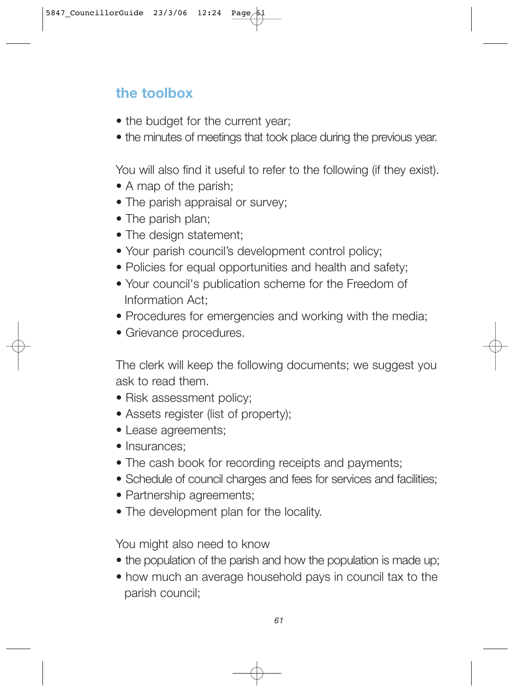### **the toolbox**

- the budget for the current year;
- the minutes of meetings that took place during the previous year.

You will also find it useful to refer to the following (if they exist).

- A map of the parish;
- The parish appraisal or survey;
- The parish plan:
- The design statement;
- Your parish council's development control policy;
- Policies for equal opportunities and health and safety;
- Your council's publication scheme for the Freedom of Information Act;
- Procedures for emergencies and working with the media;
- Grievance procedures.

The clerk will keep the following documents; we suggest you ask to read them.

- Risk assessment policy;
- Assets register (list of property);
- Lease agreements;
- Insurances:
- The cash book for recording receipts and payments;
- Schedule of council charges and fees for services and facilities;
- Partnership agreements;
- The development plan for the locality.

You might also need to know

- the population of the parish and how the population is made up;
- how much an average household pays in council tax to the parish council;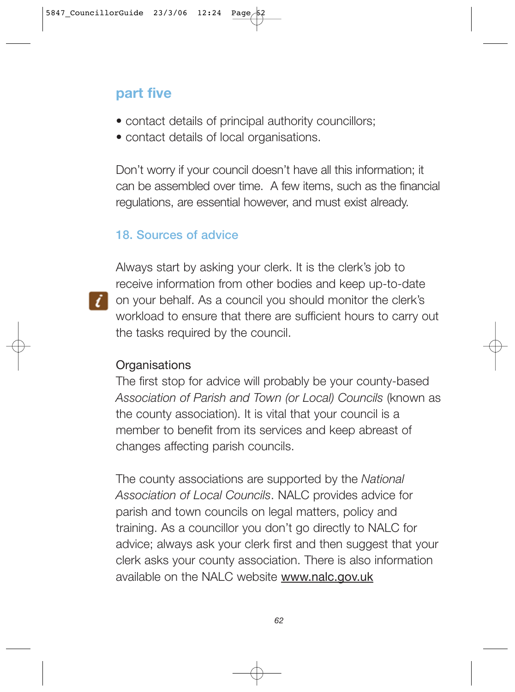- contact details of principal authority councillors;
- contact details of local organisations.

Don't worry if your council doesn't have all this information; it can be assembled over time. A few items, such as the financial regulations, are essential however, and must exist already.

#### **18. Sources of advice**

Always start by asking your clerk. It is the clerk's job to receive information from other bodies and keep up-to-date workload to ensure that there are sufficient hours to carry out the tasks required by the council.

#### **Organisations**

The first stop for advice will probably be your county-based *Association of Parish and Town (or Local) Councils* (known as the county association). It is vital that your council is a member to benefit from its services and keep abreast of changes affecting parish councils.

The county associations are supported by the *National Association of Local Councils*. NALC provides advice for parish and town councils on legal matters, policy and training. As a councillor you don't go directly to NALC for advice; always ask your clerk first and then suggest that your clerk asks your county association. There is also information available on the NALC website www.nalc.gov.uk

**T** on your behalf. As a council you should monitor the clerk's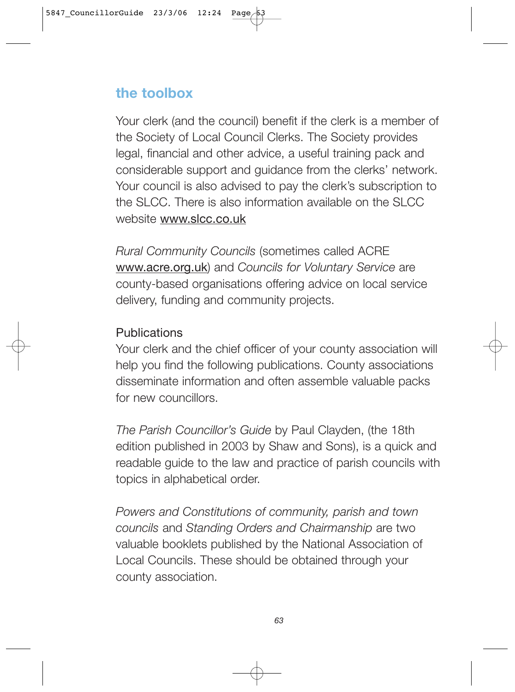## **the toolbox**

Your clerk (and the council) benefit if the clerk is a member of the Society of Local Council Clerks. The Society provides legal, financial and other advice, a useful training pack and considerable support and guidance from the clerks' network. Your council is also advised to pay the clerk's subscription to the SLCC. There is also information available on the SLCC. website www.slcc.co.uk

*Rural Community Councils* (sometimes called ACRE www.acre.org.uk) and *Councils for Voluntary Service* are county-based organisations offering advice on local service delivery, funding and community projects.

#### **Publications**

Your clerk and the chief officer of your county association will help you find the following publications. County associations disseminate information and often assemble valuable packs for new councillors.

*The Parish Councillor's Guide* by Paul Clayden, (the 18th edition published in 2003 by Shaw and Sons), is a quick and readable guide to the law and practice of parish councils with topics in alphabetical order.

*Powers and Constitutions of community, parish and town councils* and *Standing Orders and Chairmanship* are two valuable booklets published by the National Association of Local Councils. These should be obtained through your county association.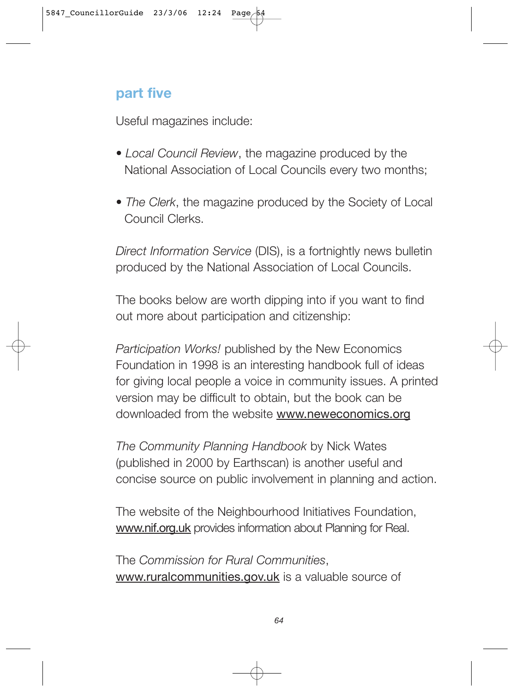Useful magazines include:

- *Local Council Review*, the magazine produced by the National Association of Local Councils every two months;
- *The Clerk*, the magazine produced by the Society of Local Council Clerks.

*Direct Information Service* (DIS), is a fortnightly news bulletin produced by the National Association of Local Councils.

The books below are worth dipping into if you want to find out more about participation and citizenship:

*Participation Works!* published by the New Economics Foundation in 1998 is an interesting handbook full of ideas for giving local people a voice in community issues. A printed version may be difficult to obtain, but the book can be downloaded from the website www.neweconomics.org

*The Community Planning Handbook* by Nick Wates (published in 2000 by Earthscan) is another useful and concise source on public involvement in planning and action.

The website of the Neighbourhood Initiatives Foundation, www.nif.org.uk provides information about Planning for Real.

The *Commission for Rural Communities*, www.ruralcommunities.gov.uk is a valuable source of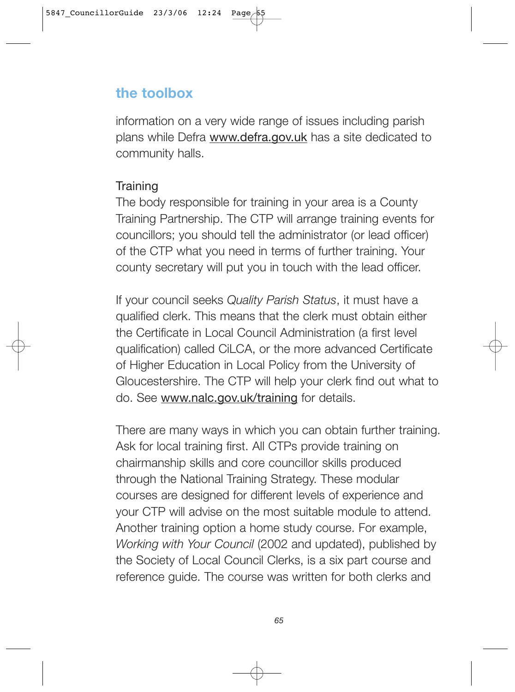## **the toolbox**

information on a very wide range of issues including parish plans while Defra www.defra.gov.uk has a site dedicated to community halls.

#### **Training**

The body responsible for training in your area is a County Training Partnership. The CTP will arrange training events for councillors; you should tell the administrator (or lead officer) of the CTP what you need in terms of further training. Your county secretary will put you in touch with the lead officer.

If your council seeks *Quality Parish Status*, it must have a qualified clerk. This means that the clerk must obtain either the Certificate in Local Council Administration (a first level qualification) called CiLCA, or the more advanced Certificate of Higher Education in Local Policy from the University of Gloucestershire. The CTP will help your clerk find out what to do. See www.nalc.gov.uk/training for details.

There are many ways in which you can obtain further training. Ask for local training first. All CTPs provide training on chairmanship skills and core councillor skills produced through the National Training Strategy. These modular courses are designed for different levels of experience and your CTP will advise on the most suitable module to attend. Another training option a home study course. For example, *Working with Your Council* (2002 and updated), published by the Society of Local Council Clerks, is a six part course and reference guide. The course was written for both clerks and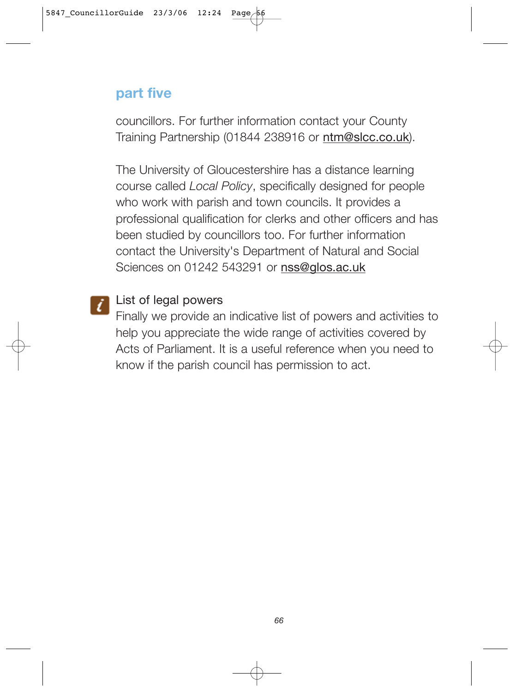councillors. For further information contact your County Training Partnership (01844 238916 or ntm@slcc.co.uk).

The University of Gloucestershire has a distance learning course called *Local Policy*, specifically designed for people who work with parish and town councils. It provides a professional qualification for clerks and other officers and has been studied by councillors too. For further information contact the University's Department of Natural and Social Sciences on 01242 543291 or nss@glos.ac.uk

### List of legal powers

Finally we provide an indicative list of powers and activities to help you appreciate the wide range of activities covered by Acts of Parliament. It is a useful reference when you need to know if the parish council has permission to act.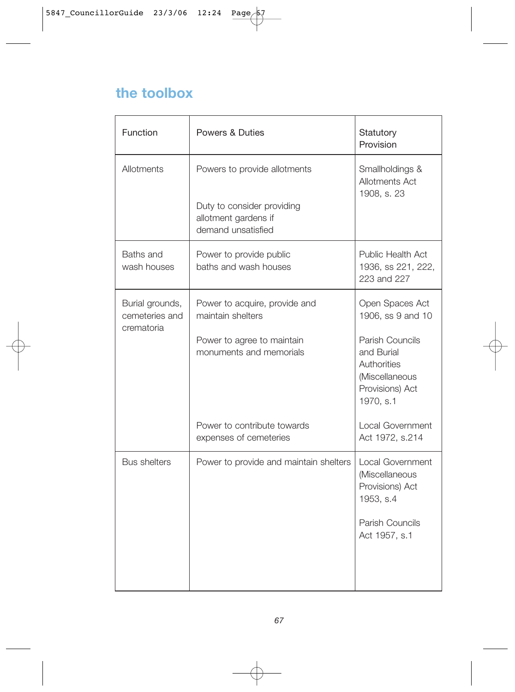# **the toolbox**

| Function                                        | Powers & Duties                                                                                                                                                      | Statutory<br>Provision                                                                                                                                                        |
|-------------------------------------------------|----------------------------------------------------------------------------------------------------------------------------------------------------------------------|-------------------------------------------------------------------------------------------------------------------------------------------------------------------------------|
| Allotments                                      | Powers to provide allotments<br>Duty to consider providing<br>allotment gardens if<br>demand unsatisfied                                                             | Smallholdings &<br>Allotments Act<br>1908, s. 23                                                                                                                              |
| Baths and<br>wash houses                        | Power to provide public<br>baths and wash houses                                                                                                                     | Public Health Act<br>1936, ss 221, 222,<br>223 and 227                                                                                                                        |
| Burial grounds,<br>cemeteries and<br>crematoria | Power to acquire, provide and<br>maintain shelters<br>Power to agree to maintain<br>monuments and memorials<br>Power to contribute towards<br>expenses of cemeteries | Open Spaces Act<br>1906, ss 9 and 10<br>Parish Councils<br>and Burial<br>Authorities<br>(Miscellaneous<br>Provisions) Act<br>1970, s.1<br>Local Government<br>Act 1972, s.214 |
| <b>Bus shelters</b>                             | Power to provide and maintain shelters                                                                                                                               | Local Government<br>(Miscellaneous<br>Provisions) Act<br>1953, s.4<br>Parish Councils<br>Act 1957, s.1                                                                        |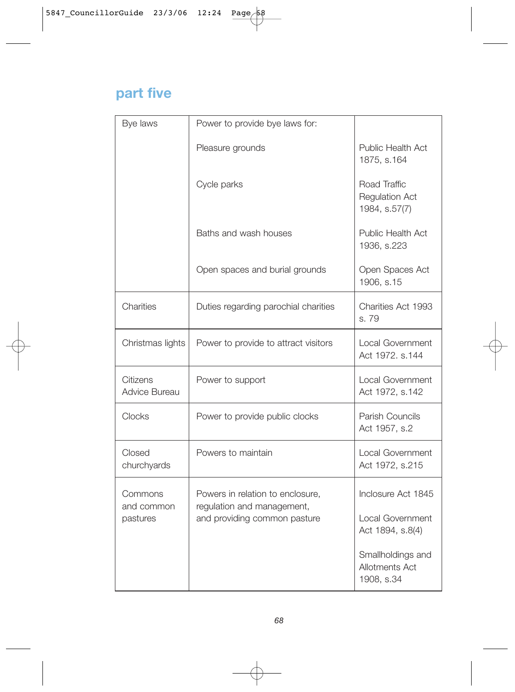| Bye laws                  | Power to provide bye laws for:                                 |                                                        |
|---------------------------|----------------------------------------------------------------|--------------------------------------------------------|
|                           | Pleasure grounds                                               | Public Health Act<br>1875, s.164                       |
|                           | Cycle parks                                                    | Road Traffic<br><b>Regulation Act</b><br>1984, s.57(7) |
|                           | Baths and wash houses                                          | <b>Public Health Act</b><br>1936, s.223                |
|                           | Open spaces and burial grounds                                 | Open Spaces Act<br>1906, s.15                          |
| Charities                 | Duties regarding parochial charities                           | Charities Act 1993<br>s. 79                            |
| Christmas lights          | Power to provide to attract visitors                           | Local Government<br>Act 1972. s.144                    |
| Citizens<br>Advice Bureau | Power to support                                               | Local Government<br>Act 1972, s.142                    |
| Clocks                    | Power to provide public clocks                                 | Parish Councils<br>Act 1957, s.2                       |
| Closed<br>churchyards     | Powers to maintain                                             | Local Government<br>Act 1972, s.215                    |
| Commons<br>and common     | Powers in relation to enclosure,<br>regulation and management, | Inclosure Act 1845                                     |
| pastures                  | and providing common pasture                                   | Local Government<br>Act 1894, s.8(4)                   |
|                           |                                                                | Smallholdings and<br>Allotments Act<br>1908, s.34      |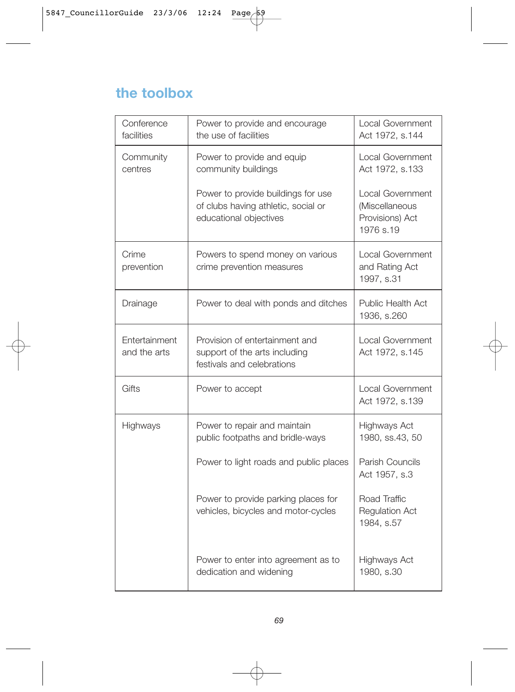# **the toolbox**

| Conference<br>facilities      | Power to provide and encourage<br>the use of facilities                                             | <b>Local Government</b><br>Act 1972, s.144                         |
|-------------------------------|-----------------------------------------------------------------------------------------------------|--------------------------------------------------------------------|
| Community<br>centres          | Power to provide and equip<br>community buildings                                                   | Local Government<br>Act 1972, s.133                                |
|                               | Power to provide buildings for use<br>of clubs having athletic, social or<br>educational objectives | Local Government<br>(Miscellaneous<br>Provisions) Act<br>1976 s.19 |
| Crime<br>prevention           | Powers to spend money on various<br>crime prevention measures                                       | Local Government<br>and Rating Act<br>1997, s.31                   |
| Drainage                      | Power to deal with ponds and ditches                                                                | Public Health Act<br>1936, s.260                                   |
| Entertainment<br>and the arts | Provision of entertainment and<br>support of the arts including<br>festivals and celebrations       | Local Government<br>Act 1972, s.145                                |
| Gifts                         | Power to accept                                                                                     | Local Government<br>Act 1972, s.139                                |
| Highways                      | Power to repair and maintain<br>public footpaths and bridle-ways                                    | Highways Act<br>1980, ss.43, 50                                    |
|                               | Power to light roads and public places                                                              | Parish Councils<br>Act 1957, s.3                                   |
|                               | Power to provide parking places for<br>vehicles, bicycles and motor-cycles                          | Road Traffic<br><b>Regulation Act</b><br>1984, s.57                |
|                               | Power to enter into agreement as to<br>dedication and widening                                      | Highways Act<br>1980, s.30                                         |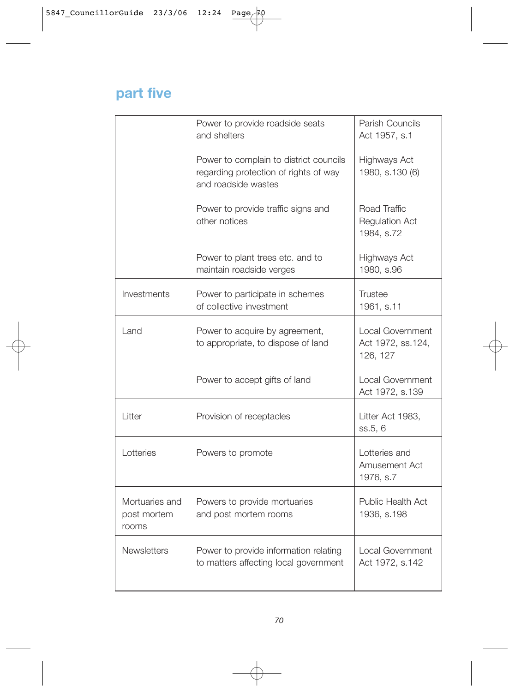|                                        | Power to provide roadside seats<br>and shelters                                                        | Parish Councils<br>Act 1957, s.1                    |
|----------------------------------------|--------------------------------------------------------------------------------------------------------|-----------------------------------------------------|
|                                        | Power to complain to district councils<br>regarding protection of rights of way<br>and roadside wastes | Highways Act<br>1980, s.130 (6)                     |
|                                        | Power to provide traffic signs and<br>other notices                                                    | Road Traffic<br><b>Regulation Act</b><br>1984, s.72 |
|                                        | Power to plant trees etc. and to<br>maintain roadside verges                                           | Highways Act<br>1980, s.96                          |
| Investments                            | Power to participate in schemes<br>of collective investment                                            | Trustee<br>1961, s.11                               |
| Land                                   | Power to acquire by agreement,<br>to appropriate, to dispose of land                                   | Local Government<br>Act 1972, ss.124,<br>126, 127   |
|                                        | Power to accept gifts of land                                                                          | Local Government<br>Act 1972, s.139                 |
| Litter                                 | Provision of receptacles                                                                               | Litter Act 1983,<br>ss.5, 6                         |
| Lotteries                              | Powers to promote                                                                                      | Lotteries and<br>Amusement Act<br>1976, s.7         |
| Mortuaries and<br>post mortem<br>rooms | Powers to provide mortuaries<br>and post mortem rooms                                                  | <b>Public Health Act</b><br>1936, s.198             |
| <b>Newsletters</b>                     | Power to provide information relating<br>to matters affecting local government                         | Local Government<br>Act 1972, s.142                 |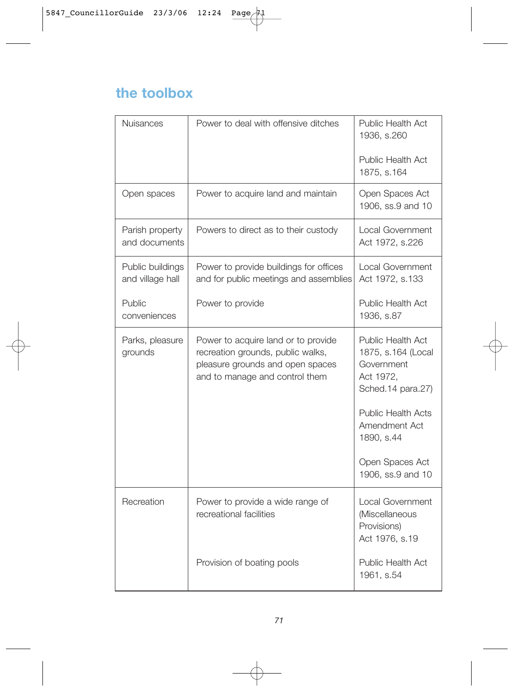# **the toolbox**

| Nuisances                            | Power to deal with offensive ditches                                                                                                           | Public Health Act<br>1936, s.260<br><b>Public Health Act</b><br>1875, s.164                                                                                                                        |
|--------------------------------------|------------------------------------------------------------------------------------------------------------------------------------------------|----------------------------------------------------------------------------------------------------------------------------------------------------------------------------------------------------|
| Open spaces                          | Power to acquire land and maintain                                                                                                             | Open Spaces Act<br>1906, ss.9 and 10                                                                                                                                                               |
| Parish property<br>and documents     | Powers to direct as to their custody                                                                                                           | Local Government<br>Act 1972, s.226                                                                                                                                                                |
| Public buildings<br>and village hall | Power to provide buildings for offices<br>and for public meetings and assemblies                                                               | Local Government<br>Act 1972, s.133                                                                                                                                                                |
| Public<br>conveniences               | Power to provide                                                                                                                               | <b>Public Health Act</b><br>1936, s.87                                                                                                                                                             |
| Parks, pleasure<br>grounds           | Power to acquire land or to provide<br>recreation grounds, public walks,<br>pleasure grounds and open spaces<br>and to manage and control them | <b>Public Health Act</b><br>1875, s.164 (Local<br>Government<br>Act 1972,<br>Sched.14 para.27)<br><b>Public Health Acts</b><br>Amendment Act<br>1890, s.44<br>Open Spaces Act<br>1906, ss.9 and 10 |
| Recreation                           | Power to provide a wide range of<br>recreational facilities                                                                                    | Local Government<br>(Miscellaneous<br>Provisions)<br>Act 1976, s.19                                                                                                                                |
|                                      | Provision of boating pools                                                                                                                     | <b>Public Health Act</b><br>1961, s.54                                                                                                                                                             |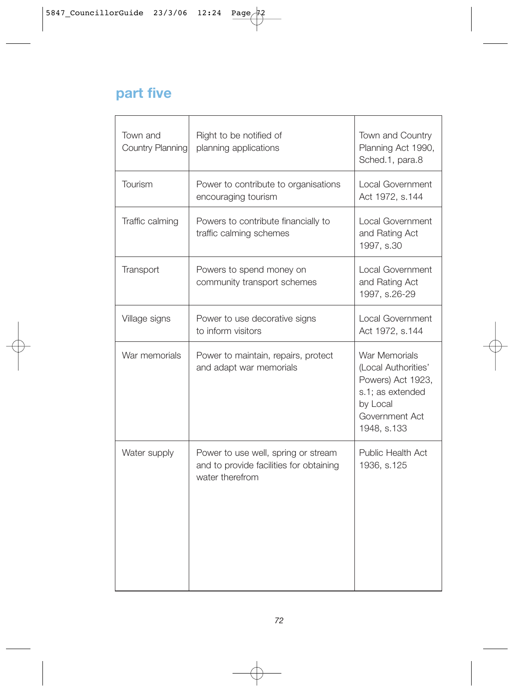| Town and<br>Country Planning | Right to be notified of<br>planning applications                                                  | Town and Country<br>Planning Act 1990,<br>Sched.1, para.8                                                                  |
|------------------------------|---------------------------------------------------------------------------------------------------|----------------------------------------------------------------------------------------------------------------------------|
| Tourism                      | Power to contribute to organisations<br>encouraging tourism                                       | Local Government<br>Act 1972, s.144                                                                                        |
| Traffic calming              | Powers to contribute financially to<br>traffic calming schemes                                    | Local Government<br>and Rating Act<br>1997, s.30                                                                           |
| Transport                    | Powers to spend money on<br>community transport schemes                                           | Local Government<br>and Rating Act<br>1997, s.26-29                                                                        |
| Village signs                | Power to use decorative signs<br>to inform visitors                                               | Local Government<br>Act 1972, s.144                                                                                        |
| War memorials                | Power to maintain, repairs, protect<br>and adapt war memorials                                    | War Memorials<br>(Local Authorities'<br>Powers) Act 1923,<br>s.1; as extended<br>by Local<br>Government Act<br>1948, s.133 |
| Water supply                 | Power to use well, spring or stream<br>and to provide facilities for obtaining<br>water therefrom | Public Health Act<br>1936, s.125                                                                                           |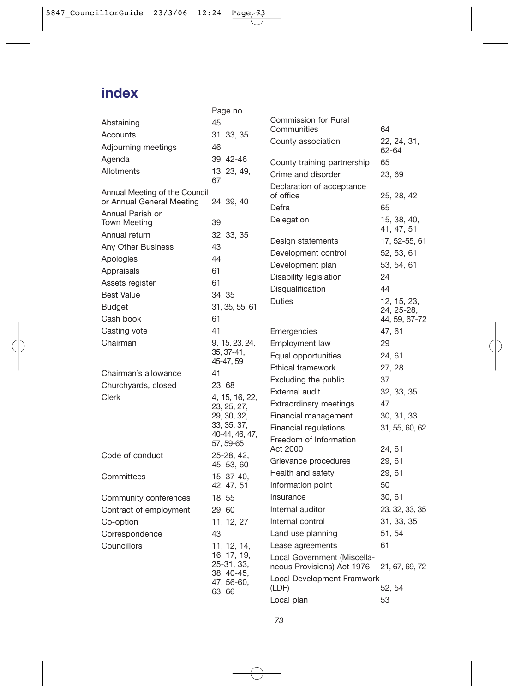## **index**

|                                                            | Page no.                                                    |                                            |                           |
|------------------------------------------------------------|-------------------------------------------------------------|--------------------------------------------|---------------------------|
| Abstaining                                                 | 45                                                          | <b>Commission for Rural</b>                |                           |
| Accounts                                                   | 31, 33, 35                                                  | Communities                                | 64                        |
| Adjourning meetings                                        | 46                                                          | County association                         | 22, 24, 31,<br>62-64      |
| Agenda                                                     | 39, 42-46                                                   | County training partnership                | 65                        |
| <b>Allotments</b>                                          | 13, 23, 49,                                                 | Crime and disorder                         | 23, 69                    |
|                                                            | 67                                                          | Declaration of acceptance                  |                           |
| Annual Meeting of the Council<br>or Annual General Meeting | 24, 39, 40                                                  | of office                                  | 25, 28, 42                |
| Annual Parish or                                           |                                                             | Defra                                      | 65                        |
| Town Meeting                                               | 39                                                          | Delegation                                 | 15, 38, 40,               |
| Annual return                                              | 32, 33, 35                                                  |                                            | 41, 47, 51                |
| Any Other Business                                         | 43                                                          | Design statements                          | 17, 52-55, 61             |
| Apologies                                                  | 44                                                          | Development control                        | 52, 53, 61                |
| Appraisals                                                 | 61                                                          | Development plan                           | 53, 54, 61                |
| Assets register                                            | 61                                                          | Disability legislation                     | 24                        |
| <b>Best Value</b>                                          | 34, 35                                                      | Disqualification                           | 44                        |
| <b>Budget</b>                                              | 31, 35, 55, 61                                              | <b>Duties</b>                              | 12, 15, 23,<br>24, 25-28, |
| Cash book                                                  | 61                                                          |                                            | 44, 59, 67-72             |
| Casting vote                                               | 41                                                          | Emergencies                                | 47, 61                    |
| Chairman                                                   | 9, 15, 23, 24,<br>35, 37-41,                                | Employment law                             | 29                        |
|                                                            |                                                             | Equal opportunities                        | 24, 61                    |
|                                                            | 45-47, 59                                                   | Ethical framework                          | 27, 28                    |
| Chairman's allowance                                       | 41                                                          | Excluding the public                       | 37                        |
| Churchyards, closed                                        | 23, 68                                                      | External audit                             | 32, 33, 35                |
| Clerk                                                      | 4, 15, 16, 22,<br>23, 25, 27,<br>29, 30, 32,<br>33, 35, 37, | <b>Extraordinary meetings</b>              | 47                        |
|                                                            |                                                             | Financial management                       | 30, 31, 33                |
|                                                            |                                                             | <b>Financial regulations</b>               | 31, 55, 60, 62            |
|                                                            | 40-44, 46, 47,<br>57, 59-65                                 | Freedom of Information                     |                           |
| Code of conduct                                            | 25-28, 42,                                                  | Act 2000                                   | 24, 61                    |
|                                                            | 45, 53, 60                                                  | Grievance procedures                       | 29, 61                    |
| Committees                                                 | 15, 37-40,                                                  | Health and safety                          | 29, 61                    |
|                                                            | 42, 47, 51                                                  | Information point                          | 50                        |
| Community conferences                                      | 18, 55                                                      | Insurance                                  | 30, 61                    |
| Contract of employment                                     | 29,60                                                       | Internal auditor                           | 23, 32, 33, 35            |
| Co-option                                                  | 11, 12, 27                                                  | Internal control                           | 31, 33, 35                |
| Correspondence                                             | 43                                                          | Land use planning                          | 51, 54                    |
| Councillors                                                | 11, 12, 14,                                                 | Lease agreements                           | 61                        |
|                                                            | 16, 17, 19,<br>25-31, 33,                                   | Local Government (Miscella-                |                           |
|                                                            | 38, 40-45,<br>47, 56-60,                                    | neous Provisions) Act 1976                 | 21, 67, 69, 72            |
|                                                            |                                                             | <b>Local Development Framwork</b><br>(LDF) | 52, 54                    |
|                                                            | 63, 66                                                      | Local plan                                 | 53                        |
|                                                            |                                                             |                                            |                           |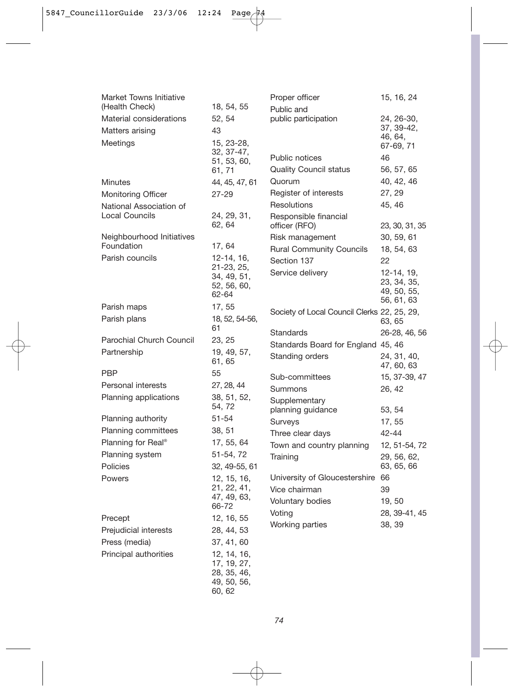| <b>Market Towns Initiative</b><br>(Health Check) | 18, 54, 55                 | Proper officer                              | 15, 16, 24                |
|--------------------------------------------------|----------------------------|---------------------------------------------|---------------------------|
| Material considerations                          | 52, 54                     | Public and<br>public participation          | 24, 26-30,                |
| Matters arising                                  | 43                         |                                             | 37, 39-42,                |
|                                                  |                            |                                             | 46, 64,                   |
| Meetings                                         | 15, 23-28,<br>32, 37-47,   |                                             | 67-69, 71                 |
|                                                  | 51, 53, 60,                | <b>Public notices</b>                       | 46                        |
|                                                  | 61, 71                     | <b>Quality Council status</b>               | 56, 57, 65                |
| <b>Minutes</b>                                   | 44, 45, 47, 61             | Quorum                                      | 40, 42, 46                |
| <b>Monitoring Officer</b>                        | $27 - 29$                  | Register of interests                       | 27, 29                    |
| National Association of                          |                            | Resolutions                                 | 45, 46                    |
| Local Councils                                   | 24, 29, 31,<br>62, 64      | Responsible financial<br>officer (RFO)      | 23, 30, 31, 35            |
| Neighbourhood Initiatives                        |                            | Risk management                             | 30, 59, 61                |
| Foundation                                       | 17, 64                     | <b>Rural Community Councils</b>             | 18, 54, 63                |
| Parish councils                                  | 12-14, 16,                 | Section 137                                 | 22                        |
|                                                  | 21-23, 25,<br>34, 49, 51,  | Service delivery                            | 12-14, 19,                |
|                                                  | 52, 56, 60,                |                                             | 23, 34, 35,               |
|                                                  | 62-64                      |                                             | 49, 50, 55,<br>56, 61, 63 |
| Parish maps                                      | 17, 55                     | Society of Local Council Clerks 22, 25, 29, |                           |
| Parish plans                                     | 18, 52, 54-56,             |                                             | 63, 65                    |
|                                                  | 61                         | Standards                                   | 26-28, 46, 56             |
| Parochial Church Council                         | 23, 25                     | Standards Board for England 45, 46          |                           |
| Partnership                                      | 19, 49, 57,<br>61, 65      | Standing orders                             | 24, 31, 40,<br>47, 60, 63 |
| <b>PBP</b>                                       | 55                         | Sub-committees                              | 15, 37-39, 47             |
| Personal interests                               | 27, 28, 44                 | Summons                                     | 26, 42                    |
| Planning applications                            | 38, 51, 52,<br>54, 72      | Supplementary<br>planning guidance          | 53, 54                    |
| Planning authority                               | $51 - 54$                  | <b>Surveys</b>                              | 17, 55                    |
| <b>Planning committees</b>                       | 38, 51                     | Three clear days                            | $42 - 44$                 |
| Planning for Real <sup>®</sup>                   | 17, 55, 64                 | Town and country planning                   | 12, 51-54, 72             |
| Planning system                                  | 51-54, 72                  | Training                                    | 29, 56, 62,               |
| Policies                                         | 32, 49-55, 61              |                                             | 63, 65, 66                |
| Powers                                           | 12, 15, 16,                | University of Gloucestershire               | 66                        |
|                                                  | 21, 22, 41,                | Vice chairman                               | 39                        |
|                                                  | 47, 49, 63,<br>66-72       | <b>Voluntary bodies</b>                     | 19, 50                    |
| Precept                                          | 12, 16, 55                 | Voting                                      | 28, 39-41, 45             |
| Prejudicial interests                            | 28, 44, 53                 | Working parties                             | 38, 39                    |
| Press (media)                                    | 37, 41, 60                 |                                             |                           |
| Principal authorities                            | 12, 14, 16,                |                                             |                           |
|                                                  | 17, 19, 27,<br>28, 35, 46, |                                             |                           |
|                                                  | 49, 50, 56,                |                                             |                           |

60, 62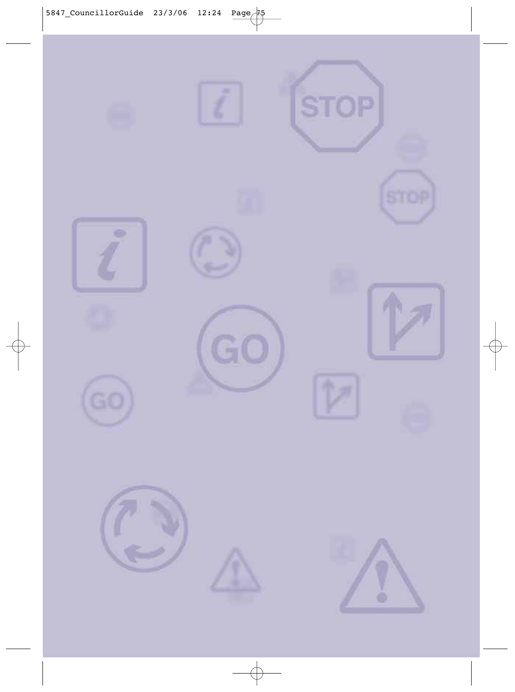